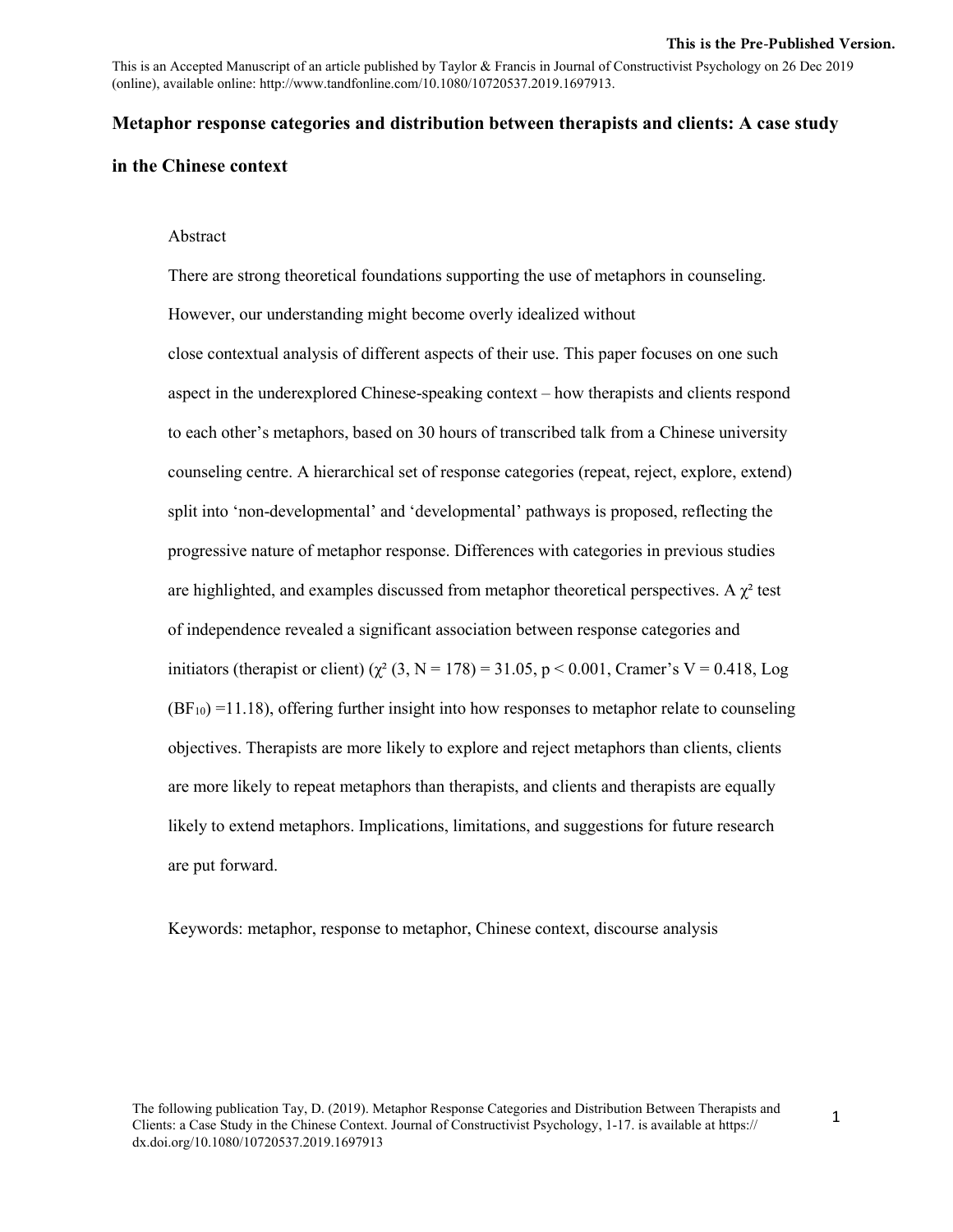This is an Accepted Manuscript of an article published by Taylor & Francis in Journal of Constructivist Psychology on 26 Dec 2019 (online), available online: http://www.tandfonline.com/10.1080/10720537.2019.1697913.

## **Metaphor response categories and distribution between therapists and clients: A case study**

# **in the Chinese context**

#### Abstract

There are strong theoretical foundations supporting the use of metaphors in counseling. However, our understanding might become overly idealized without close contextual analysis of different aspects of their use. This paper focuses on one such aspect in the underexplored Chinese-speaking context – how therapists and clients respond to each other's metaphors, based on 30 hours of transcribed talk from a Chinese university counseling centre. A hierarchical set of response categories (repeat, reject, explore, extend) split into 'non-developmental' and 'developmental' pathways is proposed, reflecting the progressive nature of metaphor response. Differences with categories in previous studies are highlighted, and examples discussed from metaphor theoretical perspectives. A  $\chi^2$  test of independence revealed a significant association between response categories and initiators (therapist or client)  $(\chi^2 (3, N = 178) = 31.05, p < 0.001$ , Cramer's V = 0.418, Log  $(BF_{10}) = 11.18$ ), offering further insight into how responses to metaphor relate to counseling objectives. Therapists are more likely to explore and reject metaphors than clients, clients are more likely to repeat metaphors than therapists, and clients and therapists are equally likely to extend metaphors. Implications, limitations, and suggestions for future research are put forward.

Keywords: metaphor, response to metaphor, Chinese context, discourse analysis

The following publication Tay, D. (2019). Metaphor Response Categories and Distribution Between Therapists and Clients: a Case Study in the Chinese Context. Journal of Constructivist Psychology, 1-17. is available at https:// dx.doi.org/10.1080/10720537.2019.1697913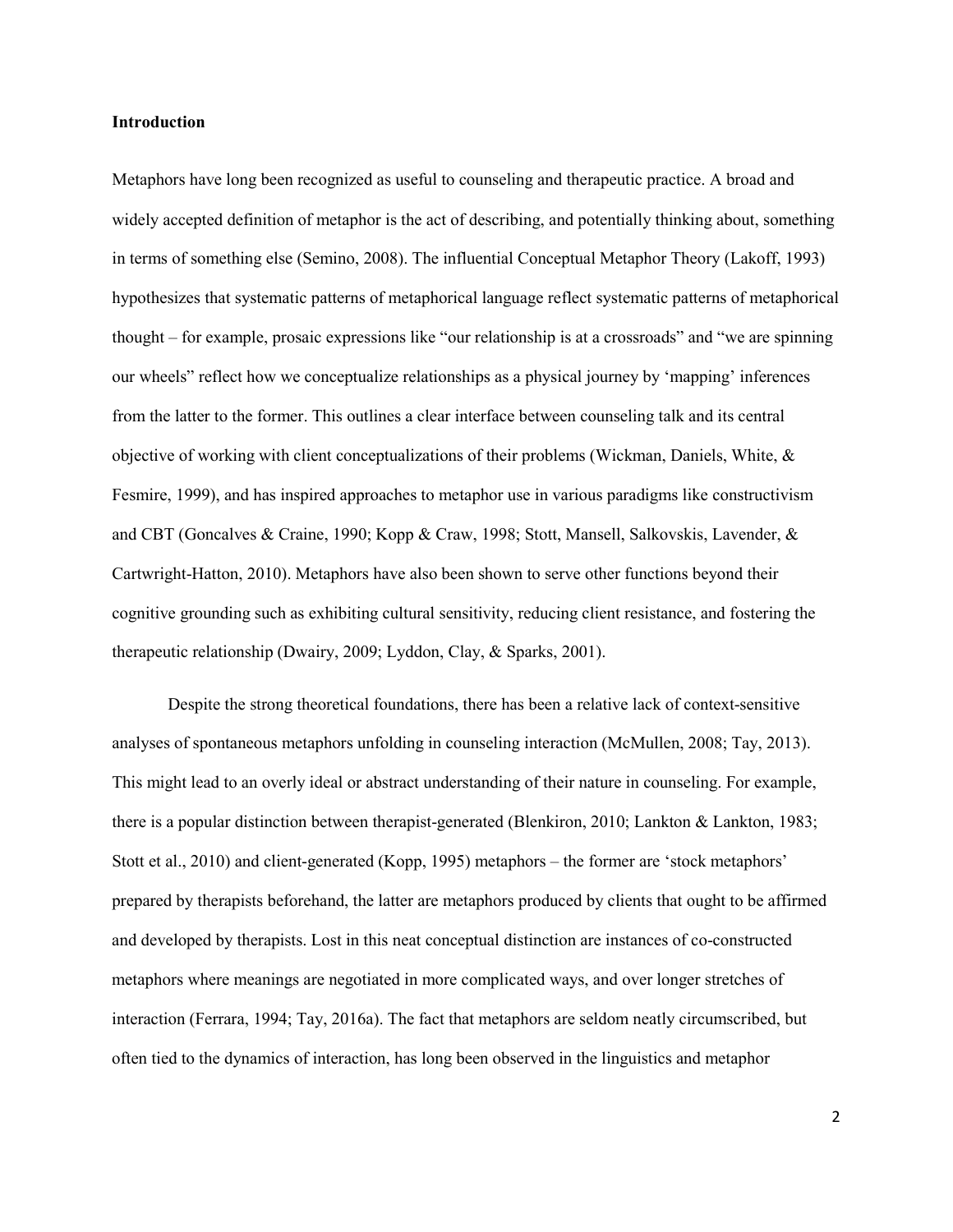### **Introduction**

Metaphors have long been recognized as useful to counseling and therapeutic practice. A broad and widely accepted definition of metaphor is the act of describing, and potentially thinking about, something in terms of something else (Semino, 2008). The influential Conceptual Metaphor Theory (Lakoff, 1993) hypothesizes that systematic patterns of metaphorical language reflect systematic patterns of metaphorical thought – for example, prosaic expressions like "our relationship is at a crossroads" and "we are spinning our wheels" reflect how we conceptualize relationships as a physical journey by 'mapping' inferences from the latter to the former. This outlines a clear interface between counseling talk and its central objective of working with client conceptualizations of their problems (Wickman, Daniels, White, & Fesmire, 1999), and has inspired approaches to metaphor use in various paradigms like constructivism and CBT (Goncalves & Craine, 1990; Kopp & Craw, 1998; Stott, Mansell, Salkovskis, Lavender, & Cartwright-Hatton, 2010). Metaphors have also been shown to serve other functions beyond their cognitive grounding such as exhibiting cultural sensitivity, reducing client resistance, and fostering the therapeutic relationship (Dwairy, 2009; Lyddon, Clay, & Sparks, 2001).

Despite the strong theoretical foundations, there has been a relative lack of context-sensitive analyses of spontaneous metaphors unfolding in counseling interaction (McMullen, 2008; Tay, 2013). This might lead to an overly ideal or abstract understanding of their nature in counseling. For example, there is a popular distinction between therapist-generated (Blenkiron, 2010; Lankton & Lankton, 1983; Stott et al., 2010) and client-generated (Kopp, 1995) metaphors – the former are 'stock metaphors' prepared by therapists beforehand, the latter are metaphors produced by clients that ought to be affirmed and developed by therapists. Lost in this neat conceptual distinction are instances of co-constructed metaphors where meanings are negotiated in more complicated ways, and over longer stretches of interaction (Ferrara, 1994; Tay, 2016a). The fact that metaphors are seldom neatly circumscribed, but often tied to the dynamics of interaction, has long been observed in the linguistics and metaphor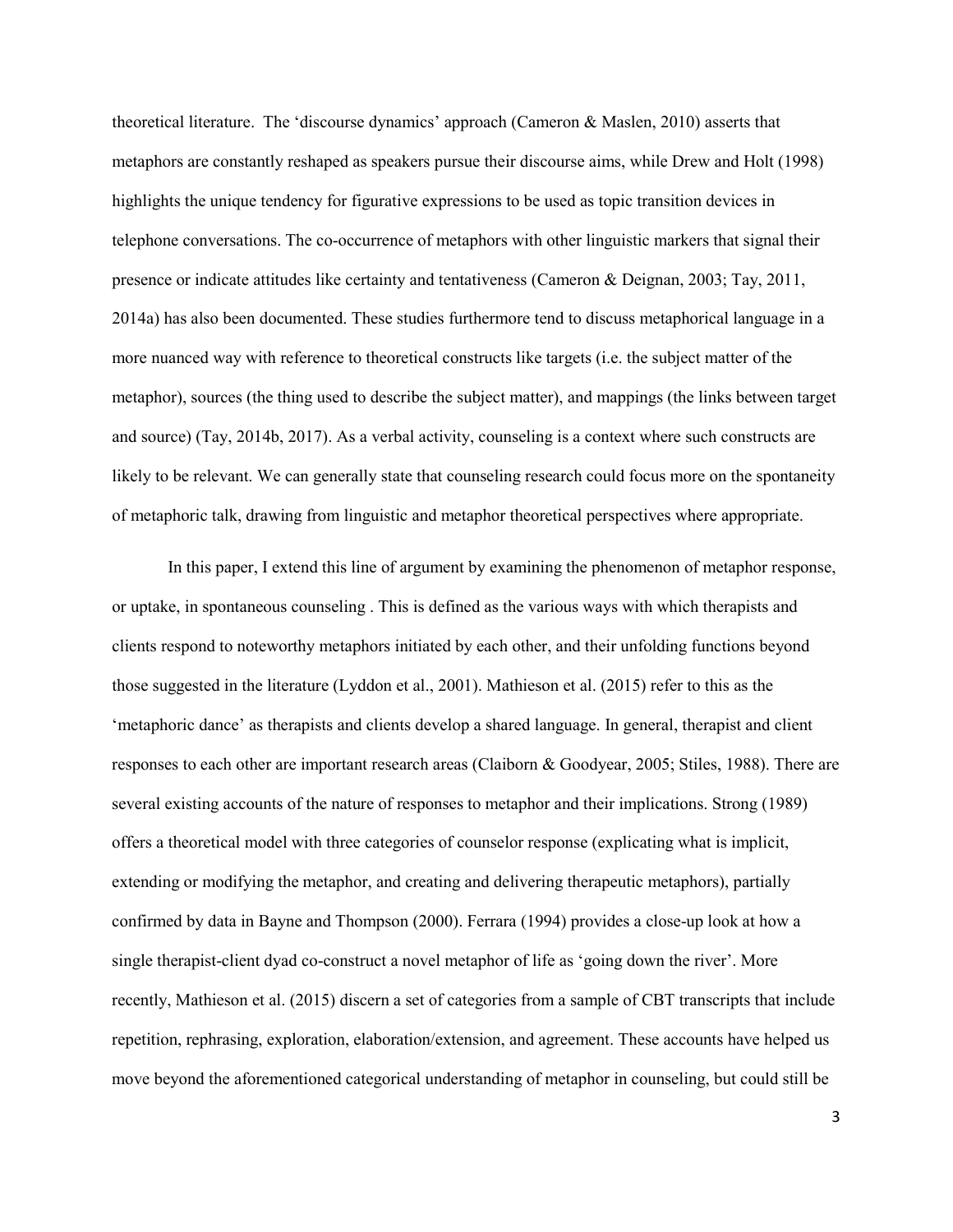theoretical literature. The 'discourse dynamics' approach (Cameron & Maslen, 2010) asserts that metaphors are constantly reshaped as speakers pursue their discourse aims, while Drew and Holt (1998) highlights the unique tendency for figurative expressions to be used as topic transition devices in telephone conversations. The co-occurrence of metaphors with other linguistic markers that signal their presence or indicate attitudes like certainty and tentativeness (Cameron & Deignan, 2003; Tay, 2011, 2014a) has also been documented. These studies furthermore tend to discuss metaphorical language in a more nuanced way with reference to theoretical constructs like targets (i.e. the subject matter of the metaphor), sources (the thing used to describe the subject matter), and mappings (the links between target and source) (Tay, 2014b, 2017). As a verbal activity, counseling is a context where such constructs are likely to be relevant. We can generally state that counseling research could focus more on the spontaneity of metaphoric talk, drawing from linguistic and metaphor theoretical perspectives where appropriate.

In this paper, I extend this line of argument by examining the phenomenon of metaphor response, or uptake, in spontaneous counseling . This is defined as the various ways with which therapists and clients respond to noteworthy metaphors initiated by each other, and their unfolding functions beyond those suggested in the literature (Lyddon et al., 2001). Mathieson et al. (2015) refer to this as the 'metaphoric dance' as therapists and clients develop a shared language. In general, therapist and client responses to each other are important research areas (Claiborn & Goodyear, 2005; Stiles, 1988). There are several existing accounts of the nature of responses to metaphor and their implications. Strong (1989) offers a theoretical model with three categories of counselor response (explicating what is implicit, extending or modifying the metaphor, and creating and delivering therapeutic metaphors), partially confirmed by data in Bayne and Thompson (2000). Ferrara (1994) provides a close-up look at how a single therapist-client dyad co-construct a novel metaphor of life as 'going down the river'. More recently, Mathieson et al. (2015) discern a set of categories from a sample of CBT transcripts that include repetition, rephrasing, exploration, elaboration/extension, and agreement. These accounts have helped us move beyond the aforementioned categorical understanding of metaphor in counseling, but could still be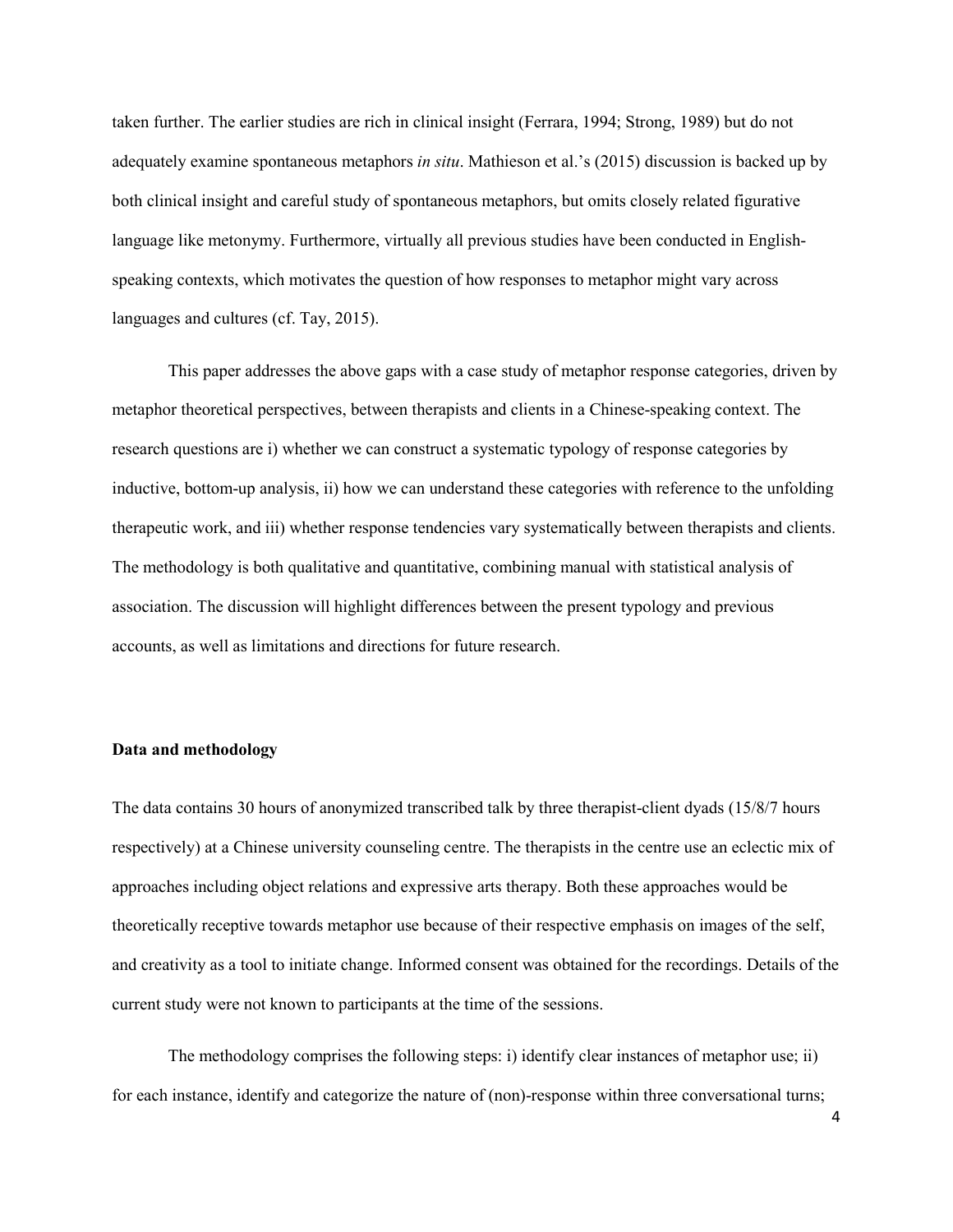taken further. The earlier studies are rich in clinical insight (Ferrara, 1994; Strong, 1989) but do not adequately examine spontaneous metaphors *in situ*. Mathieson et al.'s (2015) discussion is backed up by both clinical insight and careful study of spontaneous metaphors, but omits closely related figurative language like metonymy. Furthermore, virtually all previous studies have been conducted in Englishspeaking contexts, which motivates the question of how responses to metaphor might vary across languages and cultures (cf. Tay, 2015).

This paper addresses the above gaps with a case study of metaphor response categories, driven by metaphor theoretical perspectives, between therapists and clients in a Chinese-speaking context. The research questions are i) whether we can construct a systematic typology of response categories by inductive, bottom-up analysis, ii) how we can understand these categories with reference to the unfolding therapeutic work, and iii) whether response tendencies vary systematically between therapists and clients. The methodology is both qualitative and quantitative, combining manual with statistical analysis of association. The discussion will highlight differences between the present typology and previous accounts, as well as limitations and directions for future research.

#### **Data and methodology**

The data contains 30 hours of anonymized transcribed talk by three therapist-client dyads (15/8/7 hours respectively) at a Chinese university counseling centre. The therapists in the centre use an eclectic mix of approaches including object relations and expressive arts therapy. Both these approaches would be theoretically receptive towards metaphor use because of their respective emphasis on images of the self, and creativity as a tool to initiate change. Informed consent was obtained for the recordings. Details of the current study were not known to participants at the time of the sessions.

The methodology comprises the following steps: i) identify clear instances of metaphor use; ii) for each instance, identify and categorize the nature of (non)-response within three conversational turns;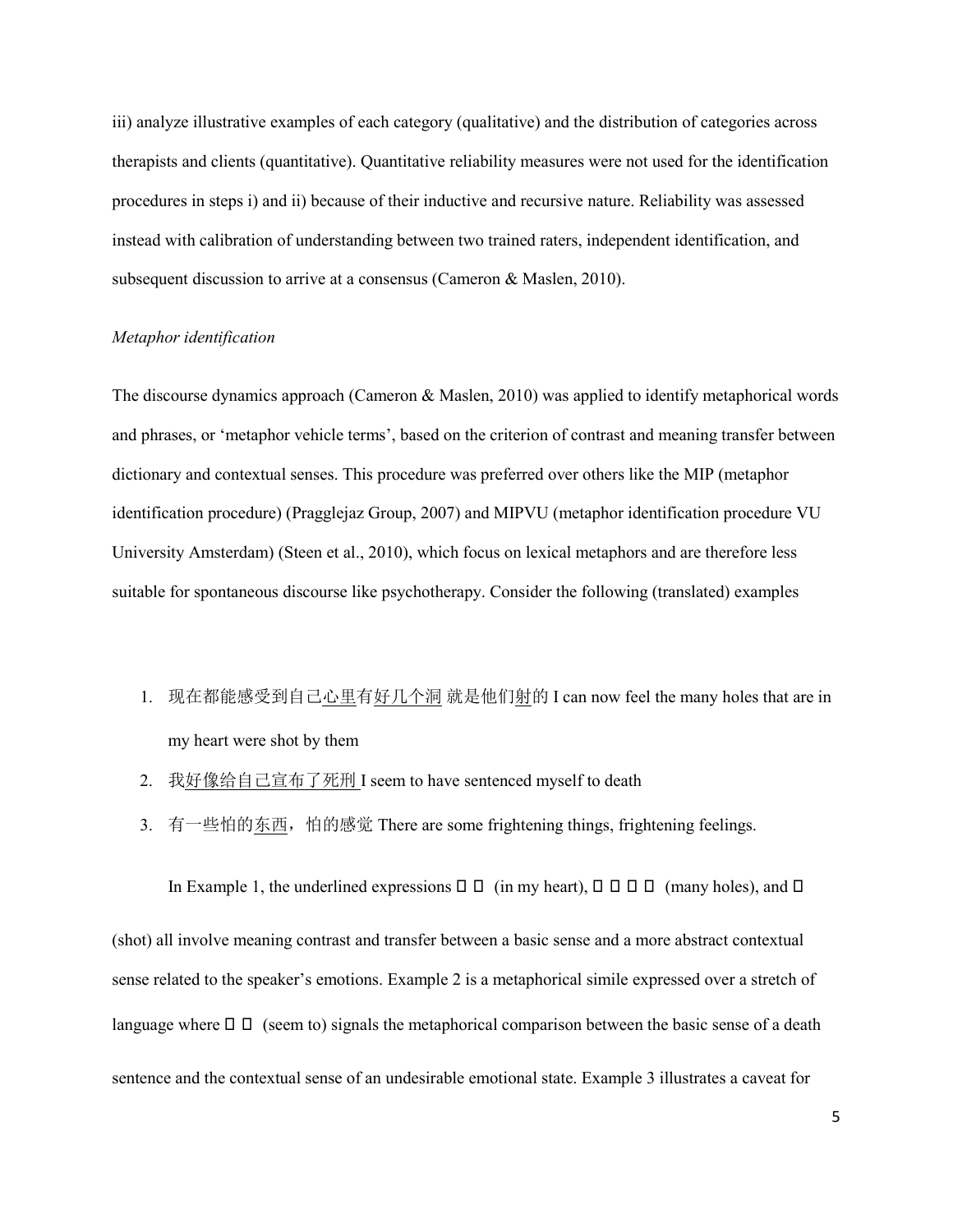iii) analyze illustrative examples of each category (qualitative) and the distribution of categories across therapists and clients (quantitative). Quantitative reliability measures were not used for the identification procedures in steps i) and ii) because of their inductive and recursive nature. Reliability was assessed instead with calibration of understanding between two trained raters, independent identification, and subsequent discussion to arrive at a consensus (Cameron & Maslen, 2010).

## *Metaphor identification*

The discourse dynamics approach (Cameron & Maslen, 2010) was applied to identify metaphorical words and phrases, or 'metaphor vehicle terms', based on the criterion of contrast and meaning transfer between dictionary and contextual senses. This procedure was preferred over others like the MIP (metaphor identification procedure) (Pragglejaz Group, 2007) and MIPVU (metaphor identification procedure VU University Amsterdam) (Steen et al., 2010), which focus on lexical metaphors and are therefore less suitable for spontaneous discourse like psychotherapy. Consider the following (translated) examples

1. 现在都能感受到自己心里有好几个洞 就是他们射的 I can now feel the many holes that are in my heart were shot by them

In Example 1, the underlined expressions  $\Box$   $\Box$  (in my heart),  $\Box$   $\Box$   $\Box$  (many holes), and  $\Box$ 

- 2. 我好像给自己宣布了死刑 I seem to have sentenced myself to death
- 3. 有一些怕的东西,怕的感觉 There are some frightening things, frightening feelings.

(shot) all involve meaning contrast and transfer between a basic sense and a more abstract contextual sense related to the speaker's emotions. Example 2 is a metaphorical simile expressed over a stretch of language where  $\Box$   $\Box$  (seem to) signals the metaphorical comparison between the basic sense of a death sentence and the contextual sense of an undesirable emotional state. Example 3 illustrates a caveat for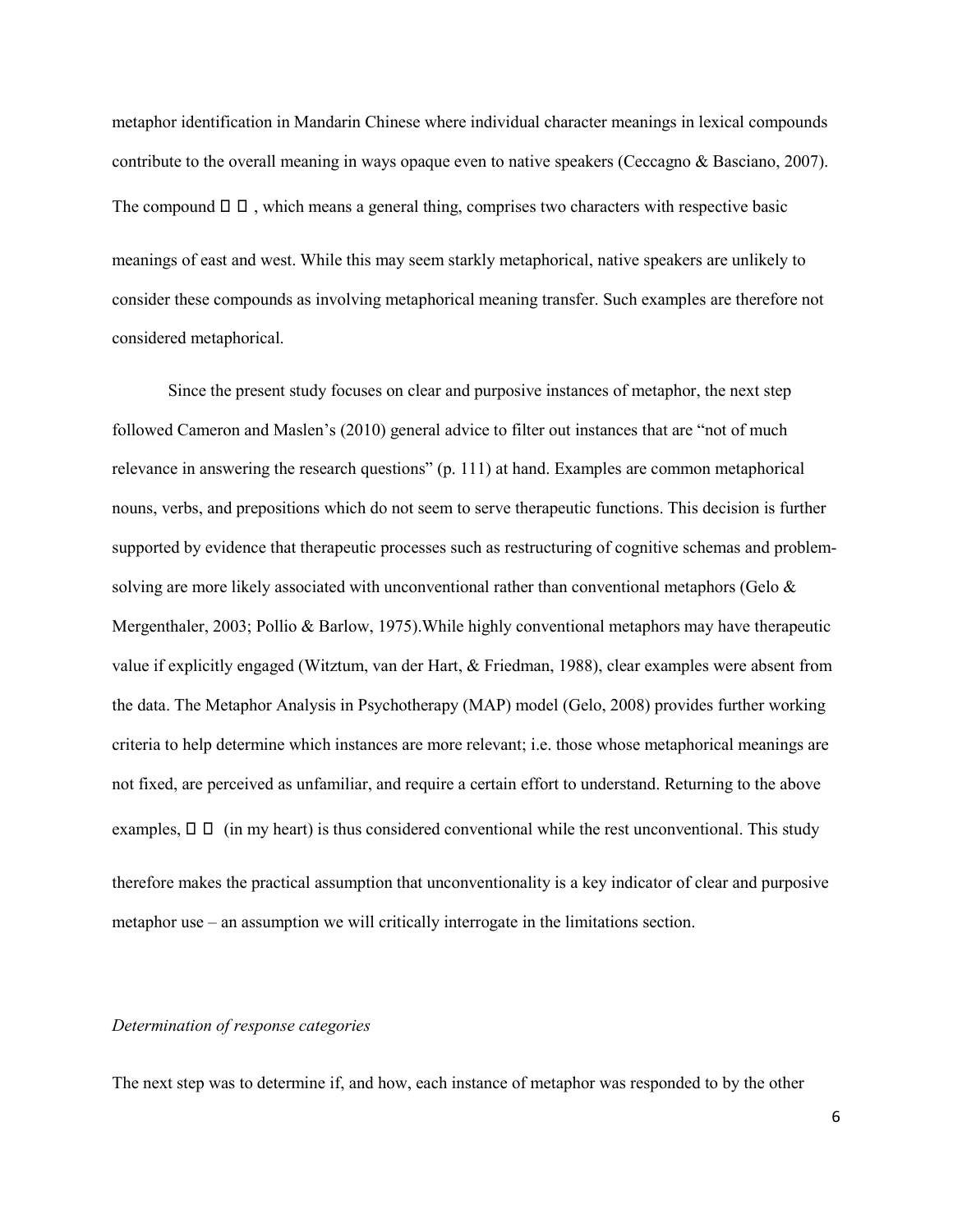metaphor identification in Mandarin Chinese where individual character meanings in lexical compounds contribute to the overall meaning in ways opaque even to native speakers (Ceccagno & Basciano, 2007). The compound  $\Box$   $\Box$ , which means a general thing, comprises two characters with respective basic meanings of east and west. While this may seem starkly metaphorical, native speakers are unlikely to consider these compounds as involving metaphorical meaning transfer. Such examples are therefore not considered metaphorical.

Since the present study focuses on clear and purposive instances of metaphor, the next step followed Cameron and Maslen's (2010) general advice to filter out instances that are "not of much relevance in answering the research questions" (p. 111) at hand. Examples are common metaphorical nouns, verbs, and prepositions which do not seem to serve therapeutic functions. This decision is further supported by evidence that therapeutic processes such as restructuring of cognitive schemas and problemsolving are more likely associated with unconventional rather than conventional metaphors (Gelo & Mergenthaler, 2003; Pollio & Barlow, 1975).While highly conventional metaphors may have therapeutic value if explicitly engaged (Witztum, van der Hart, & Friedman, 1988), clear examples were absent from the data. The Metaphor Analysis in Psychotherapy (MAP) model (Gelo, 2008) provides further working criteria to help determine which instances are more relevant; i.e. those whose metaphorical meanings are not fixed, are perceived as unfamiliar, and require a certain effort to understand. Returning to the above examples,  $\Box$   $\Box$  (in my heart) is thus considered conventional while the rest unconventional. This study therefore makes the practical assumption that unconventionality is a key indicator of clear and purposive metaphor use – an assumption we will critically interrogate in the limitations section.

## *Determination of response categories*

The next step was to determine if, and how, each instance of metaphor was responded to by the other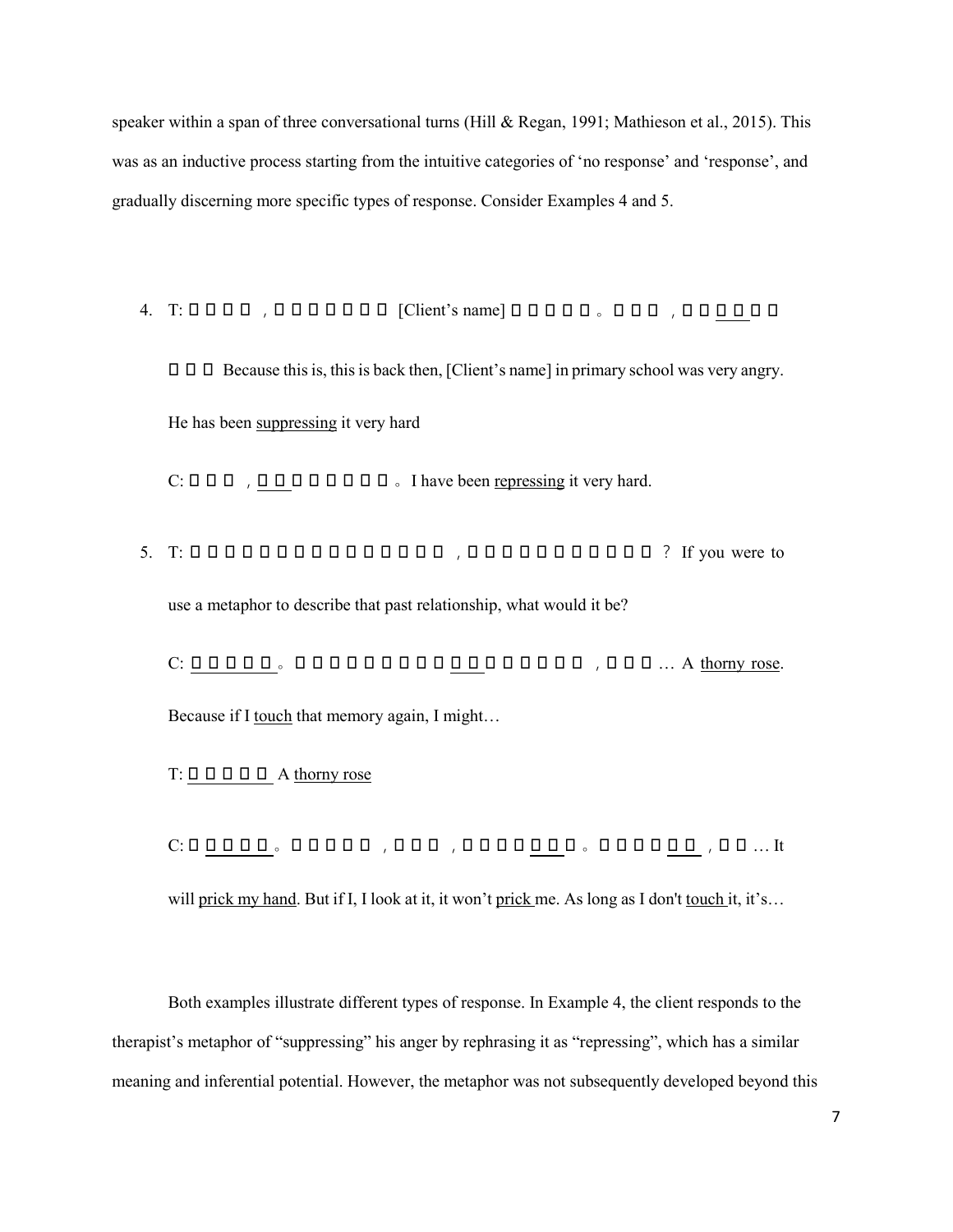speaker within a span of three conversational turns (Hill & Regan, 1991; Mathieson et al., 2015). This was as an inductive process starting from the intuitive categories of 'no response' and 'response', and gradually discerning more specific types of response. Consider Examples 4 and 5.

- 4. T: 0000, 0000000 [Client's name] 00000, 000, 000000
	- $\Box$   $\Box$   $\Box$  Because this is, this is back then, [Client's name] in primary school was very angry. He has been suppressing it very hard

 $C: \Box \Box \Box$ ,  $\Box \Box \Box \Box \Box \Box \Box \Box \Box$  I have been repressing it very hard.

5. T: 如果对过去那种关系打个比喻的话 ,它是一个什么样的比喻呢 ? If you were to use a metaphor to describe that past relationship, what would it be?

C: 带刺的玫瑰 。因为如果我如果再去 碰触 那段记忆的话 ,我可能 … A thorny rose. Because if I touch that memory again, I might...

 $T: \Box \Box \Box \Box \Box \Box$  A thorny rose

C: 会 扎我的手 。但是我如果 ,我看它 ,它也不会 扎着 我 。只要是不 接触 ,就是 … It will prick my hand. But if I, I look at it, it won't prick me. As long as I don't touch it, it's...

Both examples illustrate different types of response. In Example 4, the client responds to the therapist's metaphor of "suppressing" his anger by rephrasing it as "repressing", which has a similar meaning and inferential potential. However, the metaphor was not subsequently developed beyond this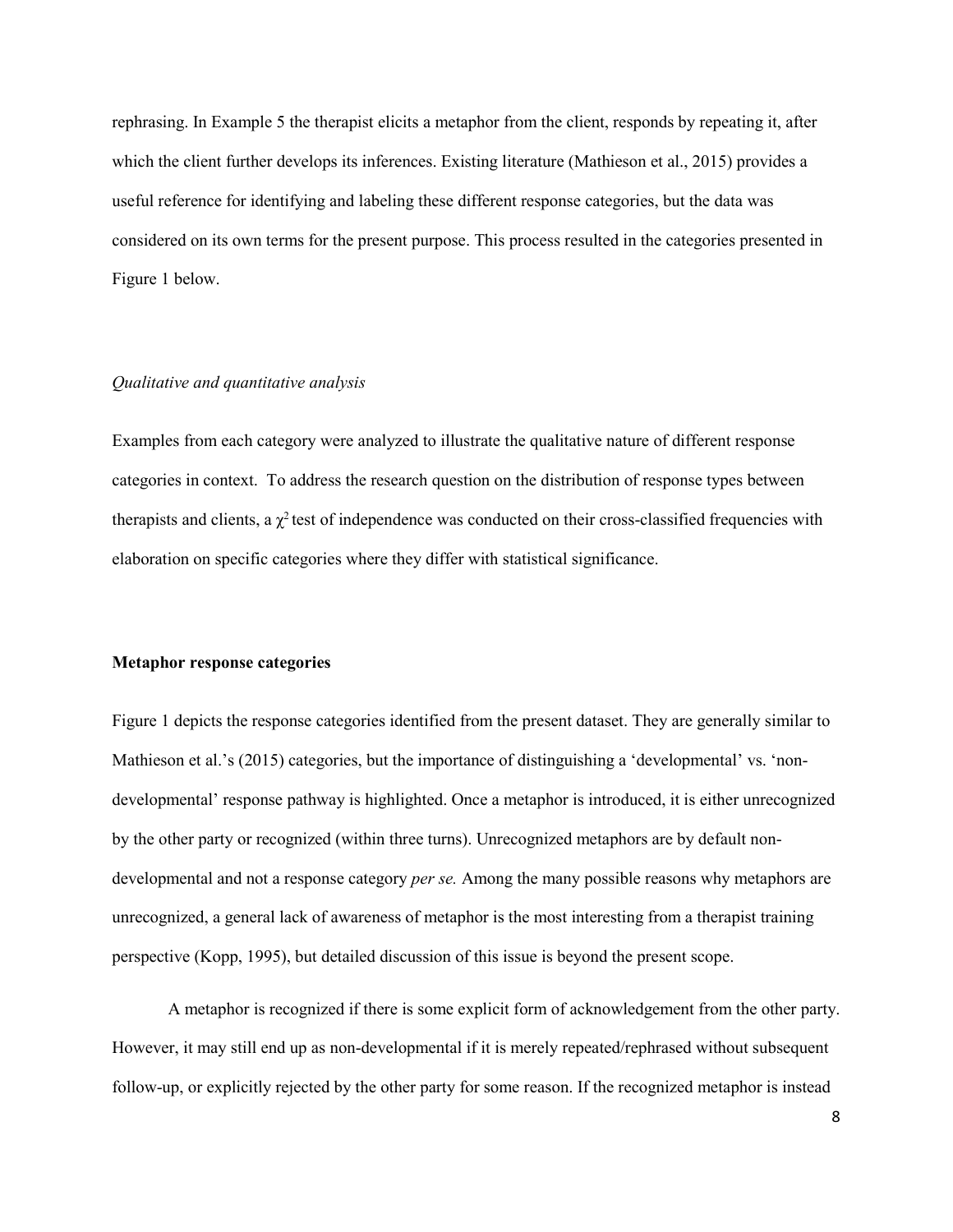rephrasing. In Example 5 the therapist elicits a metaphor from the client, responds by repeating it, after which the client further develops its inferences. Existing literature (Mathieson et al., 2015) provides a useful reference for identifying and labeling these different response categories, but the data was considered on its own terms for the present purpose. This process resulted in the categories presented in Figure 1 below.

### *Qualitative and quantitative analysis*

Examples from each category were analyzed to illustrate the qualitative nature of different response categories in context. To address the research question on the distribution of response types between therapists and clients, a  $\chi^2$  test of independence was conducted on their cross-classified frequencies with elaboration on specific categories where they differ with statistical significance.

## **Metaphor response categories**

[Figure](#page-8-0) 1 depicts the response categories identified from the present dataset. They are generally similar to Mathieson et al.'s (2015) categories, but the importance of distinguishing a 'developmental' vs. 'nondevelopmental' response pathway is highlighted. Once a metaphor is introduced, it is either unrecognized by the other party or recognized (within three turns). Unrecognized metaphors are by default nondevelopmental and not a response category *per se.* Among the many possible reasons why metaphors are unrecognized, a general lack of awareness of metaphor is the most interesting from a therapist training perspective (Kopp, 1995), but detailed discussion of this issue is beyond the present scope.

A metaphor is recognized if there is some explicit form of acknowledgement from the other party. However, it may still end up as non-developmental if it is merely repeated/rephrased without subsequent follow-up, or explicitly rejected by the other party for some reason. If the recognized metaphor is instead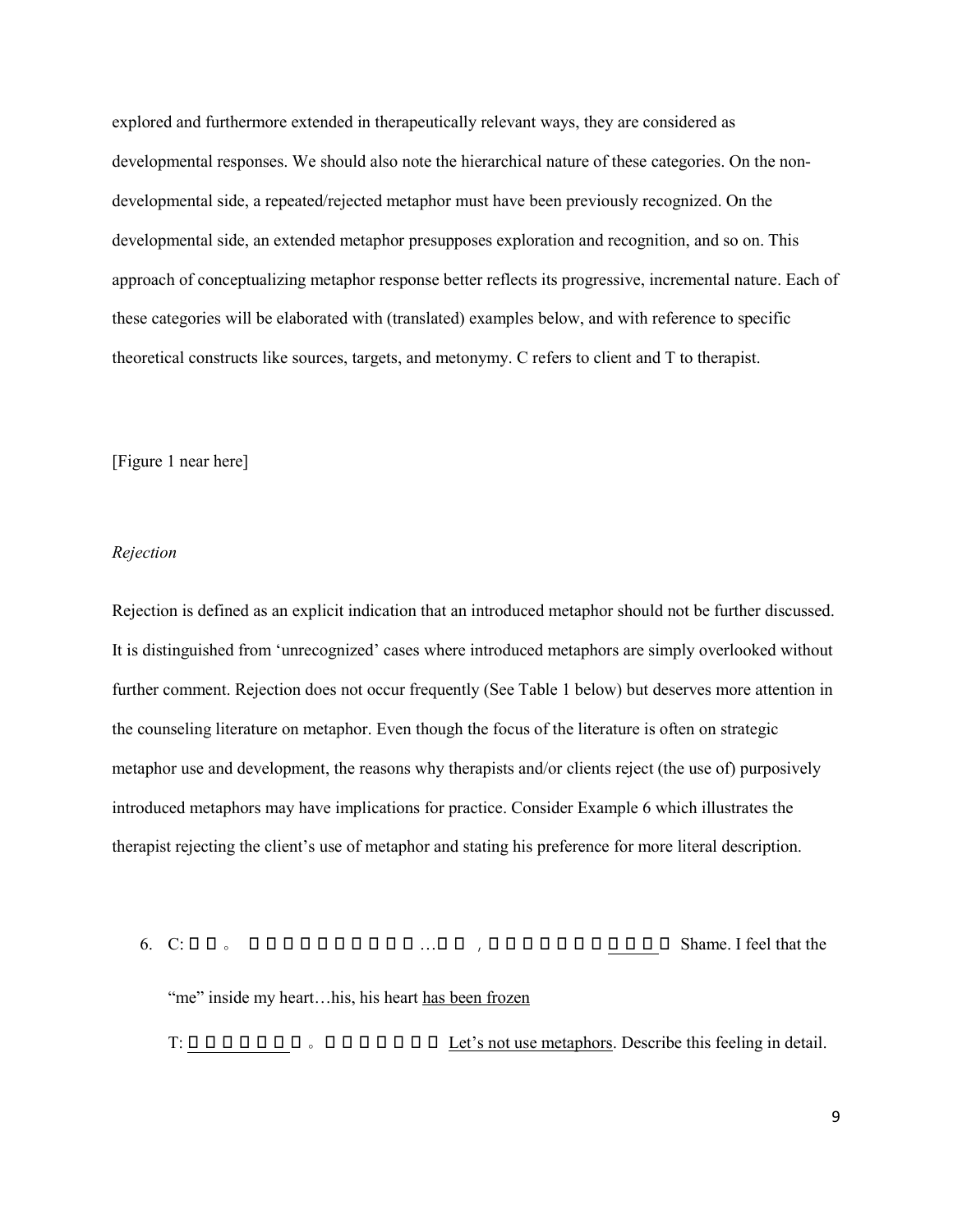explored and furthermore extended in therapeutically relevant ways, they are considered as developmental responses. We should also note the hierarchical nature of these categories. On the nondevelopmental side, a repeated/rejected metaphor must have been previously recognized. On the developmental side, an extended metaphor presupposes exploration and recognition, and so on. This approach of conceptualizing metaphor response better reflects its progressive, incremental nature. Each of these categories will be elaborated with (translated) examples below, and with reference to specific theoretical constructs like sources, targets, and metonymy. C refers to client and T to therapist.

<span id="page-8-0"></span>[Figure 1 near here]

#### *Rejection*

Rejection is defined as an explicit indication that an introduced metaphor should not be further discussed. It is distinguished from 'unrecognized' cases where introduced metaphors are simply overlooked without further comment. Rejection does not occur frequently (See Table 1 below) but deserves more attention in the counseling literature on metaphor. Even though the focus of the literature is often on strategic metaphor use and development, the reasons why therapists and/or clients reject (the use of) purposively introduced metaphors may have implications for practice. Consider Example 6 which illustrates the therapist rejecting the client's use of metaphor and stating his preference for more literal description.

# 6. C: 羞愧 。 我感觉我 心 中的那个我 …他的 ,他的 心 哪都已经 被冻住 了 Shame. I feel that the "me" inside my heart...his, his heart has been frozen

T: 我们不比喻了 啊 。仔细说这个感觉 Let's not use metaphors. Describe this feeling in detail.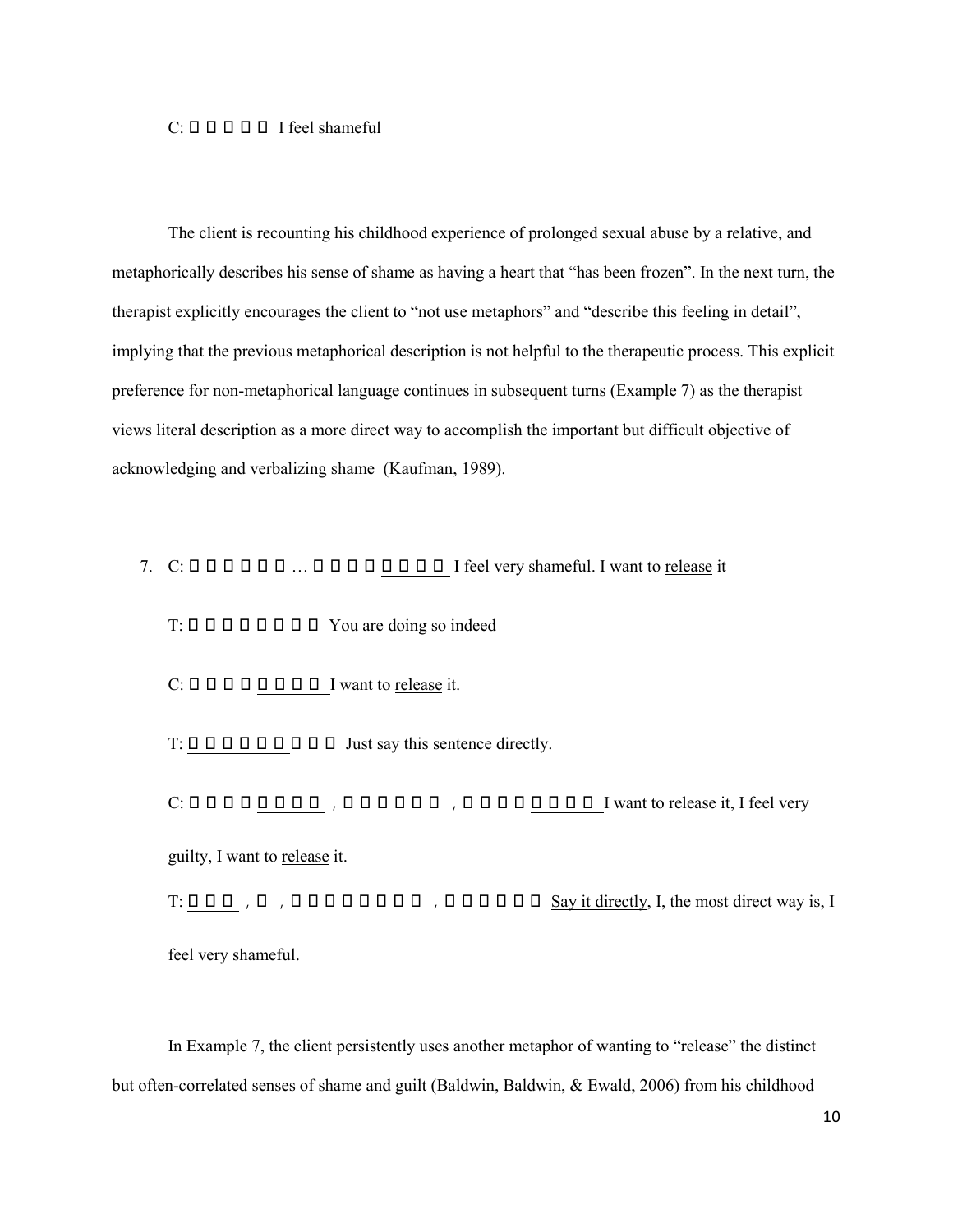## $C: \Box \Box \Box \Box \Box \Box$  I feel shameful

The client is recounting his childhood experience of prolonged sexual abuse by a relative, and metaphorically describes his sense of shame as having a heart that "has been frozen". In the next turn, the therapist explicitly encourages the client to "not use metaphors" and "describe this feeling in detail", implying that the previous metaphorical description is not helpful to the therapeutic process. This explicit preference for non-metaphorical language continues in subsequent turns (Example 7) as the therapist views literal description as a more direct way to accomplish the important but difficult objective of acknowledging and verbalizing shame (Kaufman, 1989).

# 7.  $C: \Box \Box \Box \Box \Box \Box \Box \Box \Box \Box \Box \Box \Box \Box \Box \Box$  I feel very shameful. I want to release it

 $T: \Box \Box \Box \Box \Box \Box \Box \Box \Box$  You are doing so indeed

 $C: \Box \Box \Box \Box \Box \Box \Box \Box \Box$  I want to release it.

T: 直接说这句话 就行了 Just say this sentence directly.

C: 我要把它 释放出去 ,我感到很愧疚 ,我要把它 释放出去 I want to release it, I feel very guilty, I want to release it.

T: 直接说 ,我 ,最直接的方法就是 ,我感到很羞愧 Say it directly, I, the most direct way is, I feel very shameful.

In Example 7, the client persistently uses another metaphor of wanting to "release" the distinct but often-correlated senses of shame and guilt (Baldwin, Baldwin, & Ewald, 2006) from his childhood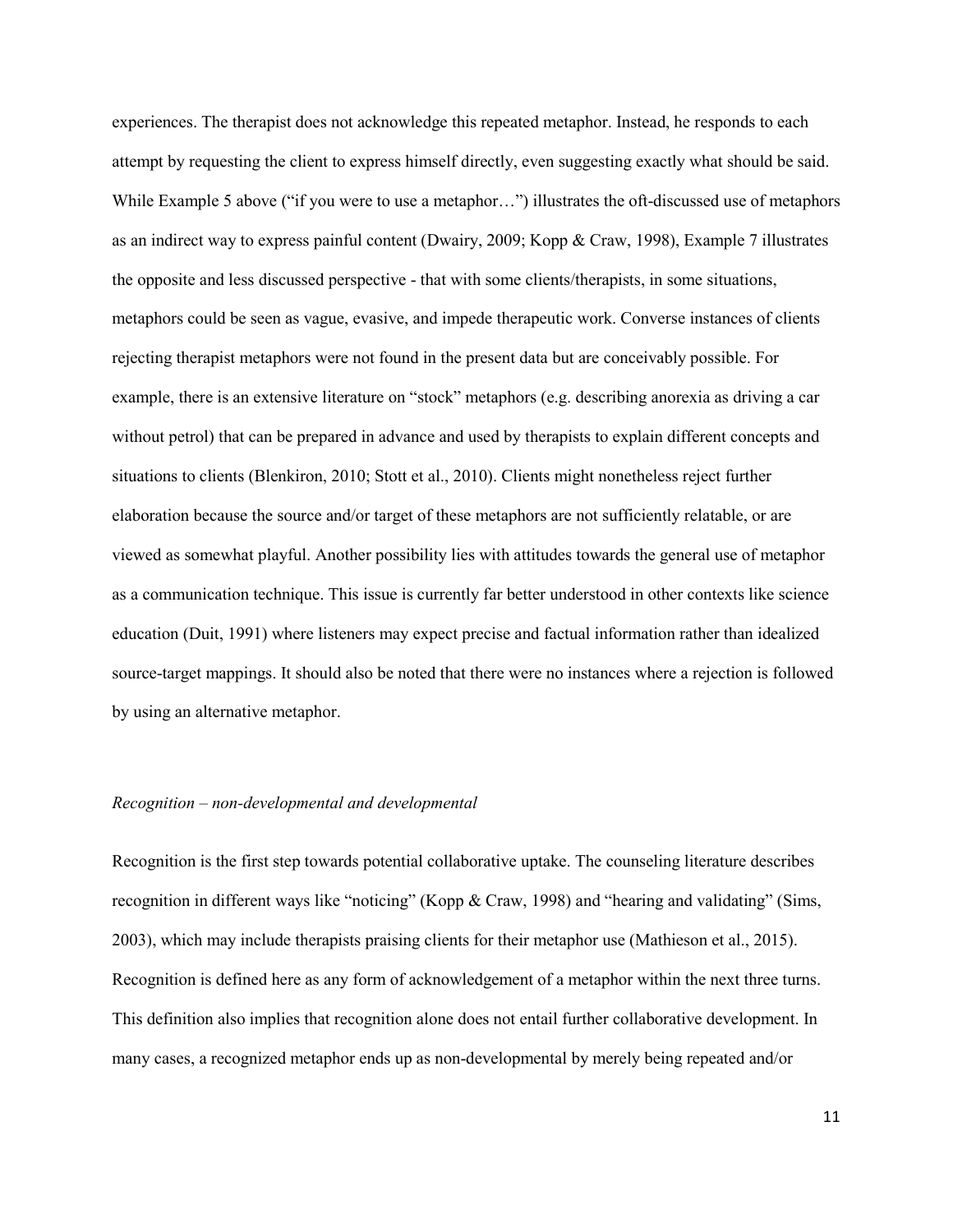experiences. The therapist does not acknowledge this repeated metaphor. Instead, he responds to each attempt by requesting the client to express himself directly, even suggesting exactly what should be said. While Example 5 above ("if you were to use a metaphor…") illustrates the oft-discussed use of metaphors as an indirect way to express painful content (Dwairy, 2009; Kopp & Craw, 1998), Example 7 illustrates the opposite and less discussed perspective - that with some clients/therapists, in some situations, metaphors could be seen as vague, evasive, and impede therapeutic work. Converse instances of clients rejecting therapist metaphors were not found in the present data but are conceivably possible. For example, there is an extensive literature on "stock" metaphors (e.g. describing anorexia as driving a car without petrol) that can be prepared in advance and used by therapists to explain different concepts and situations to clients (Blenkiron, 2010; Stott et al., 2010). Clients might nonetheless reject further elaboration because the source and/or target of these metaphors are not sufficiently relatable, or are viewed as somewhat playful. Another possibility lies with attitudes towards the general use of metaphor as a communication technique. This issue is currently far better understood in other contexts like science education (Duit, 1991) where listeners may expect precise and factual information rather than idealized source-target mappings. It should also be noted that there were no instances where a rejection is followed by using an alternative metaphor.

## *Recognition – non-developmental and developmental*

Recognition is the first step towards potential collaborative uptake. The counseling literature describes recognition in different ways like "noticing" (Kopp & Craw, 1998) and "hearing and validating" (Sims, 2003), which may include therapists praising clients for their metaphor use (Mathieson et al., 2015). Recognition is defined here as any form of acknowledgement of a metaphor within the next three turns. This definition also implies that recognition alone does not entail further collaborative development. In many cases, a recognized metaphor ends up as non-developmental by merely being repeated and/or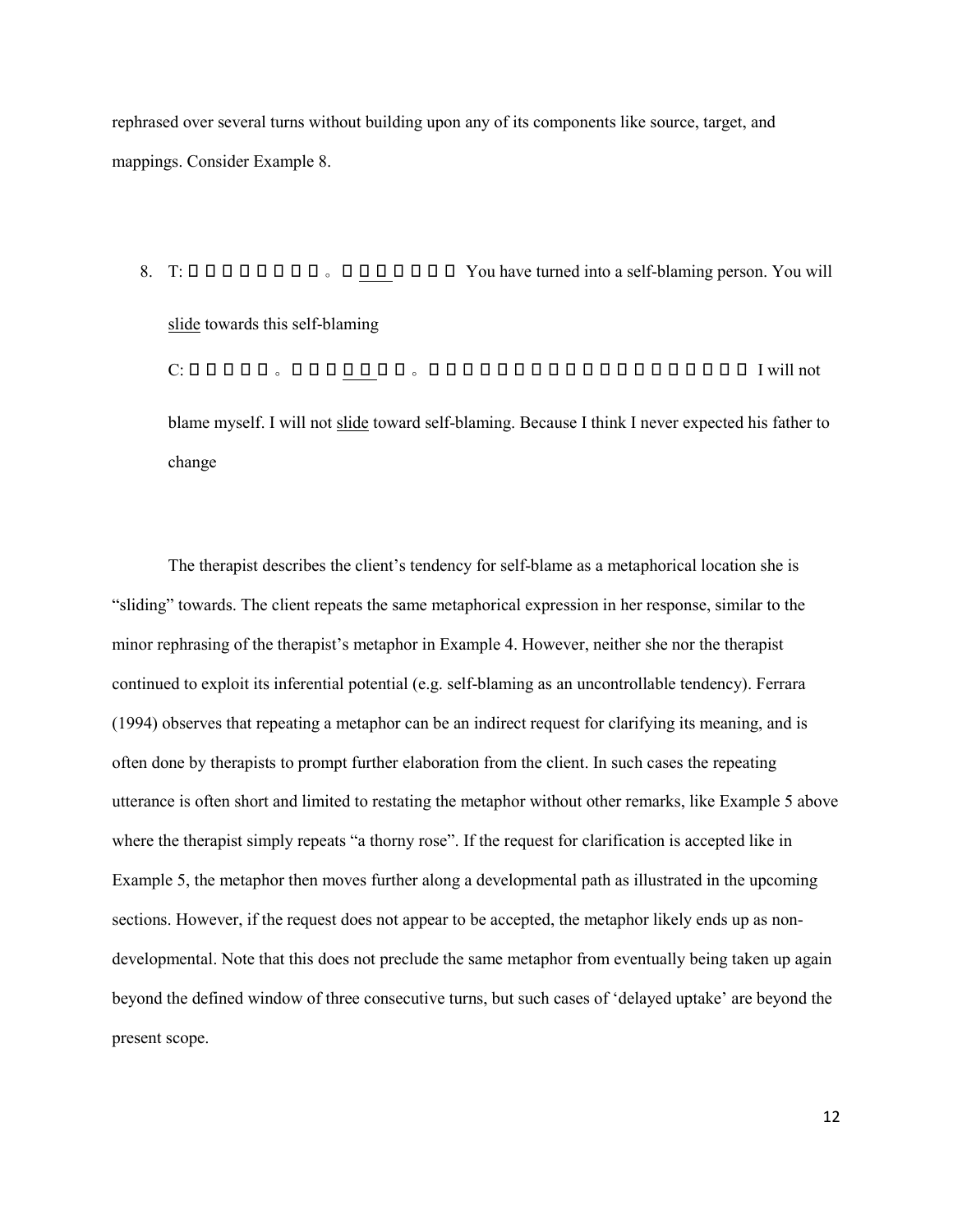rephrased over several turns without building upon any of its components like source, target, and mappings. Consider Example 8.

8.  $T: \Box \Box \Box \Box \Box \Box \Box \Box \Box \Box \Box \Box \Box \Box \Box \Box \Box$  You have turned into a self-blaming person. You will slide towards this self-blaming

C: 我不会自责 。我不会 滑向 自责 。因为我觉得我本来就没有指望他爸爸能改变 I will not blame myself. I will not slide toward self-blaming. Because I think I never expected his father to change

The therapist describes the client's tendency for self-blame as a metaphorical location she is "sliding" towards. The client repeats the same metaphorical expression in her response, similar to the minor rephrasing of the therapist's metaphor in Example 4. However, neither she nor the therapist continued to exploit its inferential potential (e.g. self-blaming as an uncontrollable tendency). Ferrara (1994) observes that repeating a metaphor can be an indirect request for clarifying its meaning, and is often done by therapists to prompt further elaboration from the client. In such cases the repeating utterance is often short and limited to restating the metaphor without other remarks, like Example 5 above where the therapist simply repeats "a thorny rose". If the request for clarification is accepted like in Example 5, the metaphor then moves further along a developmental path as illustrated in the upcoming sections. However, if the request does not appear to be accepted, the metaphor likely ends up as nondevelopmental. Note that this does not preclude the same metaphor from eventually being taken up again beyond the defined window of three consecutive turns, but such cases of 'delayed uptake' are beyond the present scope.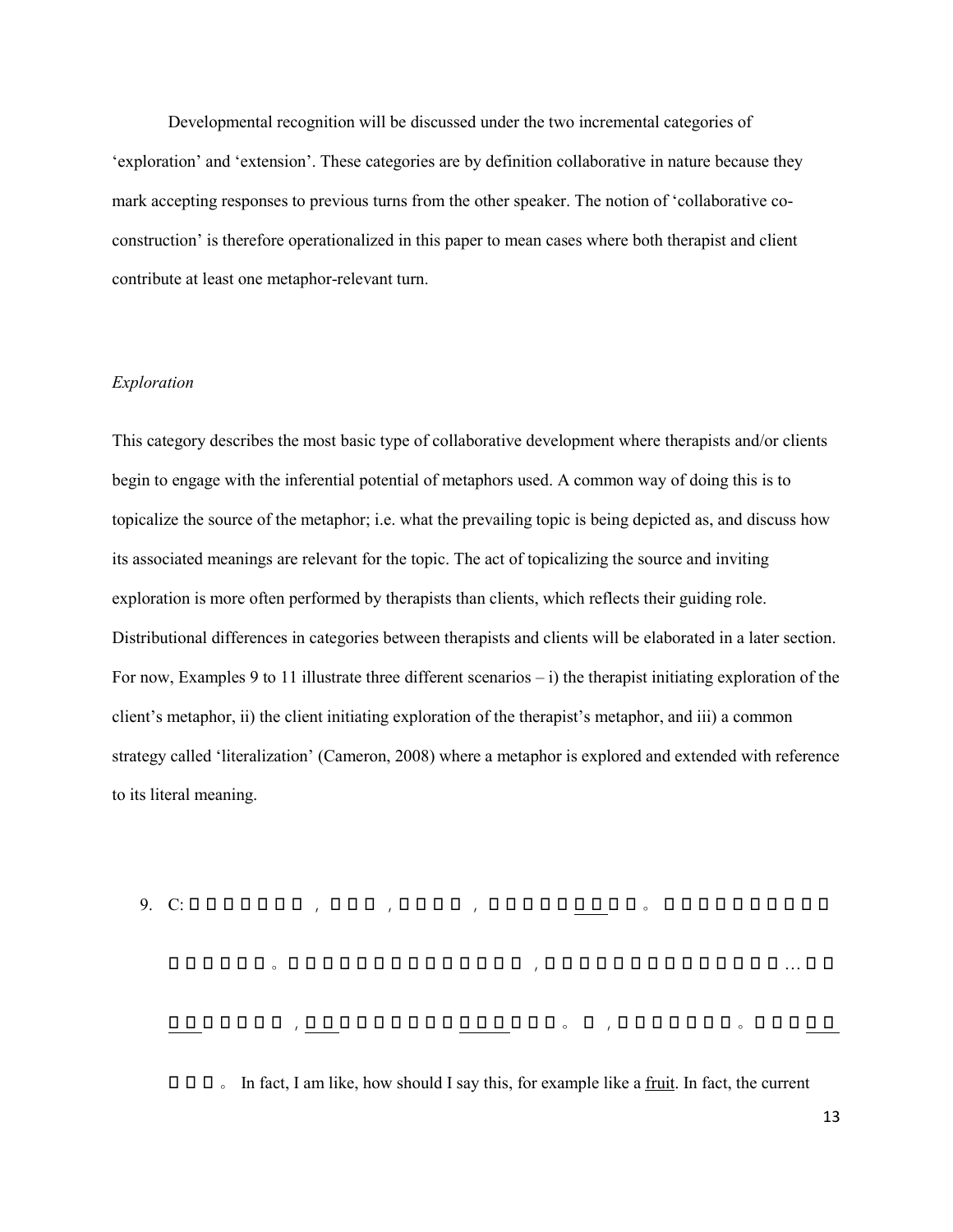Developmental recognition will be discussed under the two incremental categories of 'exploration' and 'extension'. These categories are by definition collaborative in nature because they mark accepting responses to previous turns from the other speaker. The notion of 'collaborative coconstruction' is therefore operationalized in this paper to mean cases where both therapist and client contribute at least one metaphor-relevant turn.

## *Exploration*

This category describes the most basic type of collaborative development where therapists and/or clients begin to engage with the inferential potential of metaphors used. A common way of doing this is to topicalize the source of the metaphor; i.e. what the prevailing topic is being depicted as, and discuss how its associated meanings are relevant for the topic. The act of topicalizing the source and inviting exploration is more often performed by therapists than clients, which reflects their guiding role. Distributional differences in categories between therapists and clients will be elaborated in a later section. For now, Examples 9 to 11 illustrate three different scenarios  $-$  i) the therapist initiating exploration of the client's metaphor, ii) the client initiating exploration of the therapist's metaphor, and iii) a common strategy called 'literalization' (Cameron, 2008) where a metaphor is explored and extended with reference to its literal meaning.

9. C: 其实我就是那种 , 怎么说 ,就比如说 , 就比如一个 水果 似的 。 其实现在的状态就是我 的外表就很好 。所有的人看都不会觉得我 心 理有 ,都说哎怎么可能你 心 理会有问题 … 往往 <u>, ооооо, дооооооооооооо, о доооооо, ооооо</u>  $\Box$   $\Box$   $\Box$   $\Box$  In fact, I am like, how should I say this, for example like a <u>fruit</u>. In fact, the current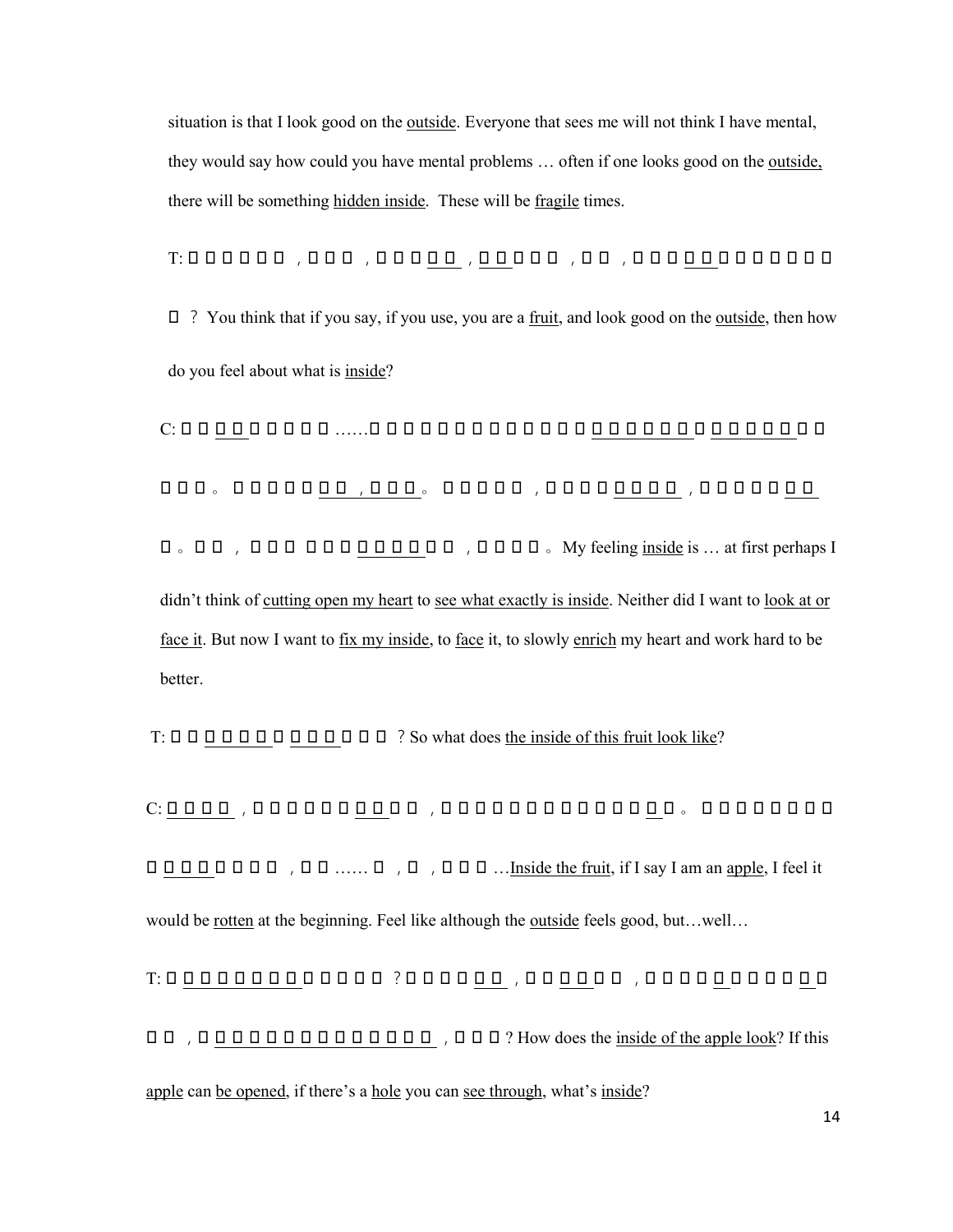situation is that I look good on the outside. Everyone that sees me will not think I have mental, they would say how could you have mental problems … often if one looks good on the outside, there will be something hidden inside. These will be fragile times.

T: 你自己觉得说 ,如果用 ,你 说是 水果 ,外表 挺好的 ,那你 ,对自己 内在 的感觉是什么样

 $\Box$  ? You think that if you say, if you use, you are a fruit, and look good on the outside, then how do you feel about what is inside?

C: 自己 内在 的感觉就是 ……原来的话可能就是没有想到要 剖开那个内 心 去 看看我里面 到底 怎么样 。 也没有想要 去看 ,去面对 。 那现在就是 ,想要去把 内 心 弄好 ,就是想要去 面对 它 。就是 , 让自己 一点点 内 心 充实 起来 ,努力变好 。My feeling inside is … at first perhaps I didn't think of cutting open my heart to see what exactly is inside. Neither did I want to look at or face it. But now I want to fix my inside, to face it, to slowly enrich my heart and work hard to be better.

 $T: \Box \Box \Box \Box \Box \Box \Box \Box \Box \Box \Box \Box \Box \Box$  ? So what does the inside of this fruit look like?

C: 水果里面 ,我如果说是个 苹果 的话 ,我感觉原来的话就是可能就 坏 了 。 感觉就自己就是虽 O O O O O O O O O , O O ...... O , O O O ... Inside the fruit, if I say I am an apple, I feel it would be <u>rotten</u> at the beginning. Feel like although the <u>outside</u> feels good, but…well…

T: 你 看到苹果的里面 是什么样的 ?如果这个 苹果 ,可以 打开 的话 ,它有一个 孔 可以让你 看 到 **OO, OOOOOOOOOOOOOOOO**, OOO? How does the inside of the apple look? If this apple can be opened, if there's a hole you can see through, what's inside?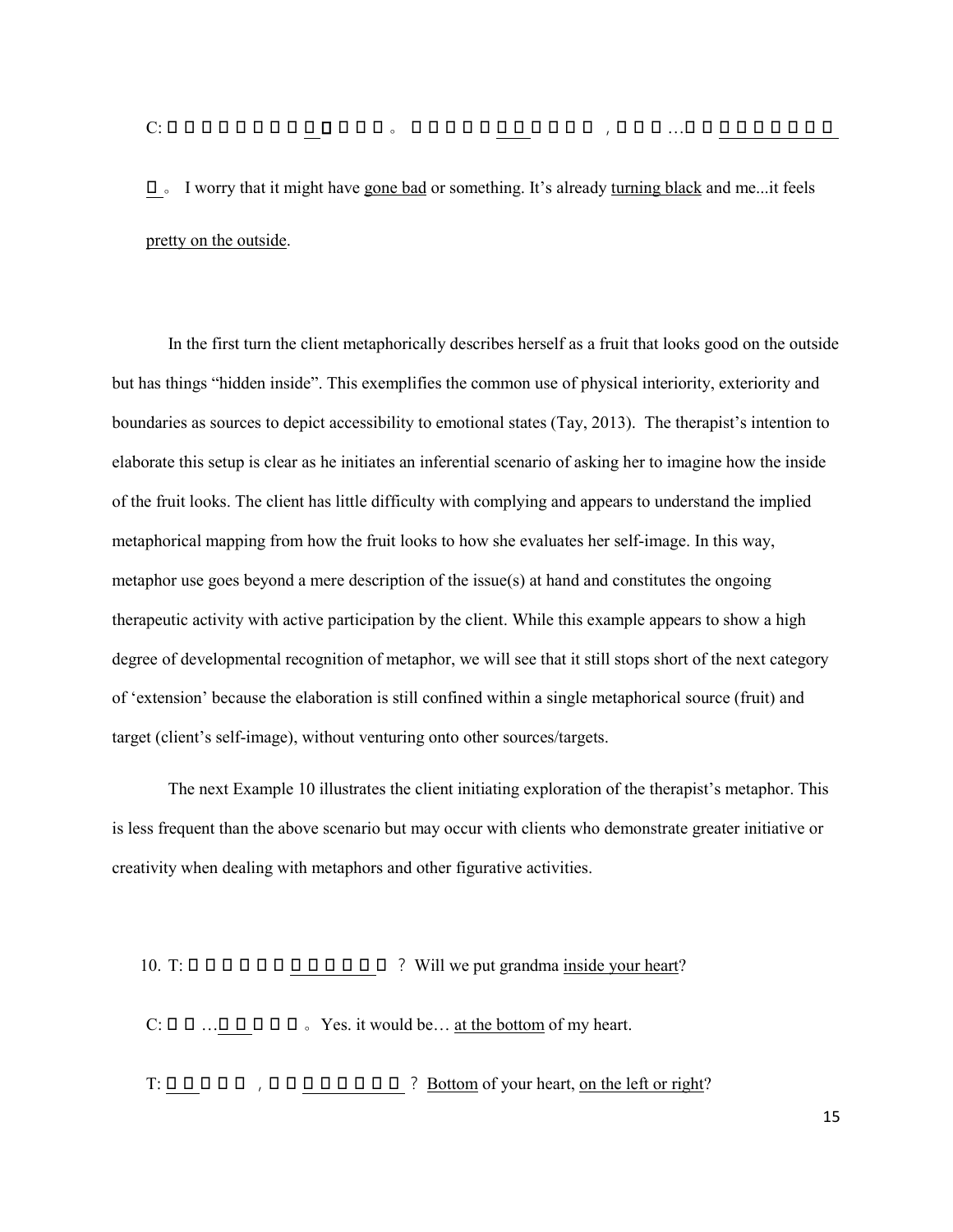# C: 我就担 心 可能就是 坏 了 什么的 。 就是都已经 发黑 了什么的 ,我自己 …然后 外表上感觉很亮

丽 。 I worry that it might have gone bad or something. It's already turning black and me...it feels pretty on the outside.

In the first turn the client metaphorically describes herself as a fruit that looks good on the outside but has things "hidden inside". This exemplifies the common use of physical interiority, exteriority and boundaries as sources to depict accessibility to emotional states (Tay, 2013). The therapist's intention to elaborate this setup is clear as he initiates an inferential scenario of asking her to imagine how the inside of the fruit looks. The client has little difficulty with complying and appears to understand the implied metaphorical mapping from how the fruit looks to how she evaluates her self-image. In this way, metaphor use goes beyond a mere description of the issue(s) at hand and constitutes the ongoing therapeutic activity with active participation by the client. While this example appears to show a high degree of developmental recognition of metaphor, we will see that it still stops short of the next category of 'extension' because the elaboration is still confined within a single metaphorical source (fruit) and target (client's self-image), without venturing onto other sources/targets.

The next Example 10 illustrates the client initiating exploration of the therapist's metaphor. This is less frequent than the above scenario but may occur with clients who demonstrate greater initiative or creativity when dealing with metaphors and other figurative activities.

#### 10. T: 我们 会 把姥姥 放 到 心 里面 吗 ? Will we put grandma inside your heart?

 $C: \Box \Box \Box \Box \Box \Box \Box \Box \Box$  Yes. it would be... at the bottom of my heart.

 $T: \Box \Box \Box \Box \Box$  ,  $\Box \Box \Box \Box \Box \Box \Box \Box \Box$  ? Bottom of your heart, on the left or right?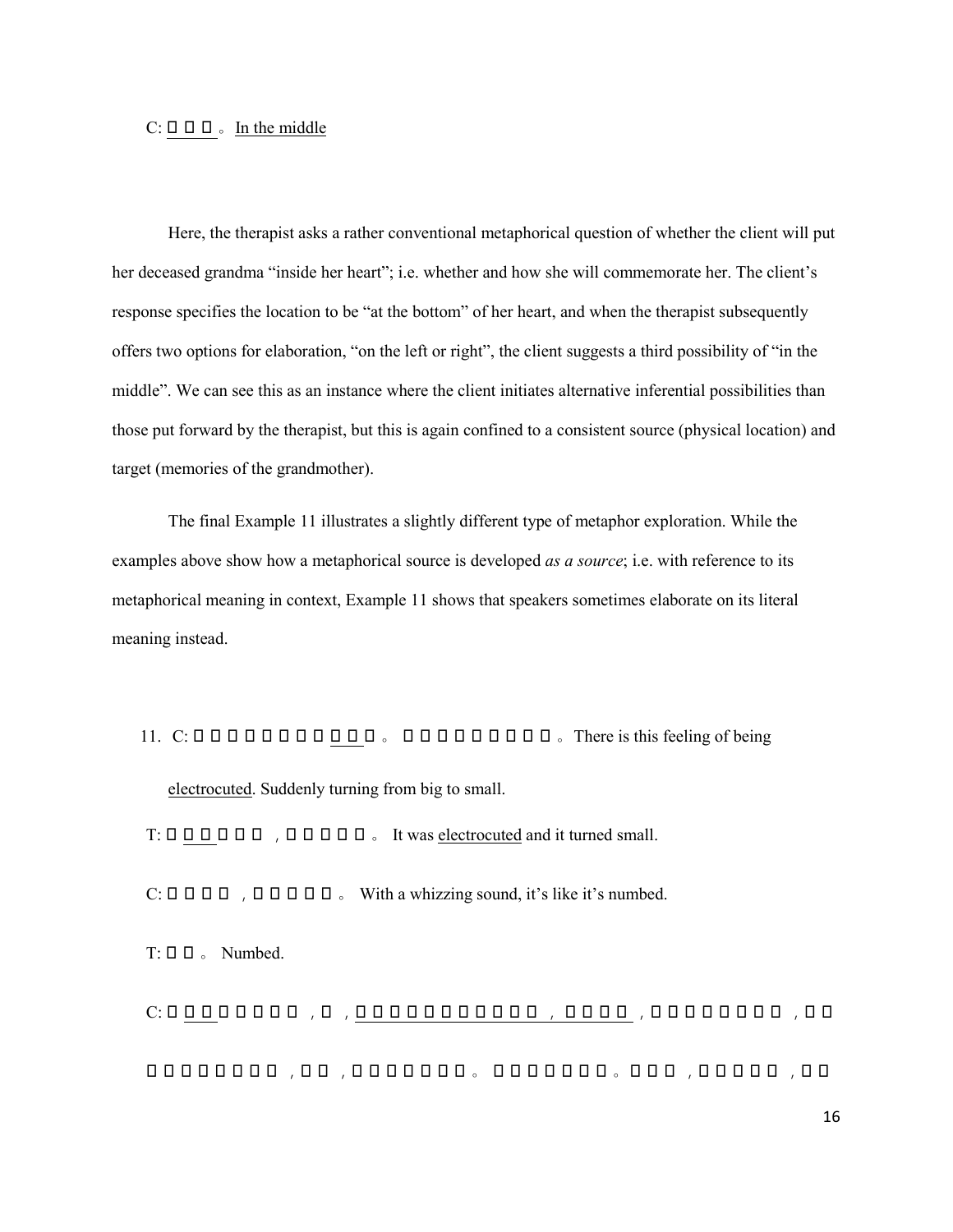## $C: \Box \Box \Box$  In the middle

Here, the therapist asks a rather conventional metaphorical question of whether the client will put her deceased grandma "inside her heart"; i.e. whether and how she will commemorate her. The client's response specifies the location to be "at the bottom" of her heart, and when the therapist subsequently offers two options for elaboration, "on the left or right", the client suggests a third possibility of "in the middle". We can see this as an instance where the client initiates alternative inferential possibilities than those put forward by the therapist, but this is again confined to a consistent source (physical location) and target (memories of the grandmother).

The final Example 11 illustrates a slightly different type of metaphor exploration. While the examples above show how a metaphorical source is developed *as a source*; i.e. with reference to its metaphorical meaning in context, Example 11 shows that speakers sometimes elaborate on its literal meaning instead.

11. C: 有这种感觉好像被 电击 了 。 突然由个很大的变小 。There is this feeling of being electrocuted. Suddenly turning from big to small.

 $T: \Box \Box \Box \Box \Box \Box$ ,  $\Box \Box \Box \Box \Box$  . It was electrocuted and it turned small.

 $C: \Box \Box \Box \Box$ ,  $\Box \Box \Box \Box \Box \Box$  With a whizzing sound, it's like it's numbed.

 $T: \Box \Box$  Numbed.

C: 被 电击 了就是感觉 ,嗖 ,就是小时候有被电击过嘛 , 被电击过 ,你摸那开关的时候 ,不小 心 触到那个被电击 ,感觉 ,就是有那种感觉 。 近似于那种感觉 。说到这 ,还有次经历 ,让我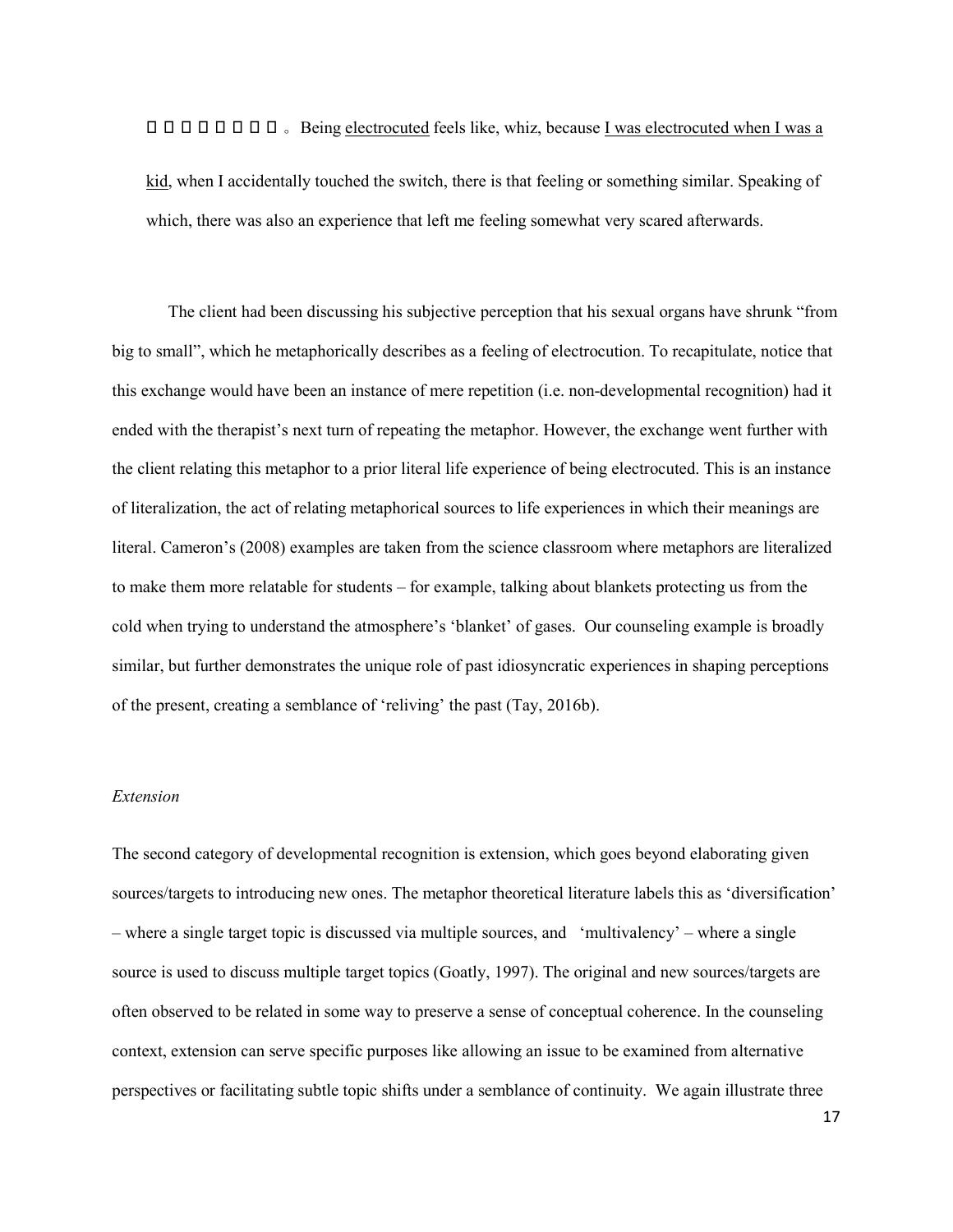**O O O O O O O S** Being electrocuted feels like, whiz, because I was electrocuted when I was a

kid, when I accidentally touched the switch, there is that feeling or something similar. Speaking of which, there was also an experience that left me feeling somewhat very scared afterwards.

The client had been discussing his subjective perception that his sexual organs have shrunk "from big to small", which he metaphorically describes as a feeling of electrocution. To recapitulate, notice that this exchange would have been an instance of mere repetition (i.e. non-developmental recognition) had it ended with the therapist's next turn of repeating the metaphor. However, the exchange went further with the client relating this metaphor to a prior literal life experience of being electrocuted. This is an instance of literalization, the act of relating metaphorical sources to life experiences in which their meanings are literal. Cameron's (2008) examples are taken from the science classroom where metaphors are literalized to make them more relatable for students – for example, talking about blankets protecting us from the cold when trying to understand the atmosphere's 'blanket' of gases. Our counseling example is broadly similar, but further demonstrates the unique role of past idiosyncratic experiences in shaping perceptions of the present, creating a semblance of 'reliving' the past (Tay, 2016b).

## *Extension*

The second category of developmental recognition is extension, which goes beyond elaborating given sources/targets to introducing new ones. The metaphor theoretical literature labels this as 'diversification' – where a single target topic is discussed via multiple sources, and 'multivalency' – where a single source is used to discuss multiple target topics (Goatly, 1997). The original and new sources/targets are often observed to be related in some way to preserve a sense of conceptual coherence. In the counseling context, extension can serve specific purposes like allowing an issue to be examined from alternative perspectives or facilitating subtle topic shifts under a semblance of continuity. We again illustrate three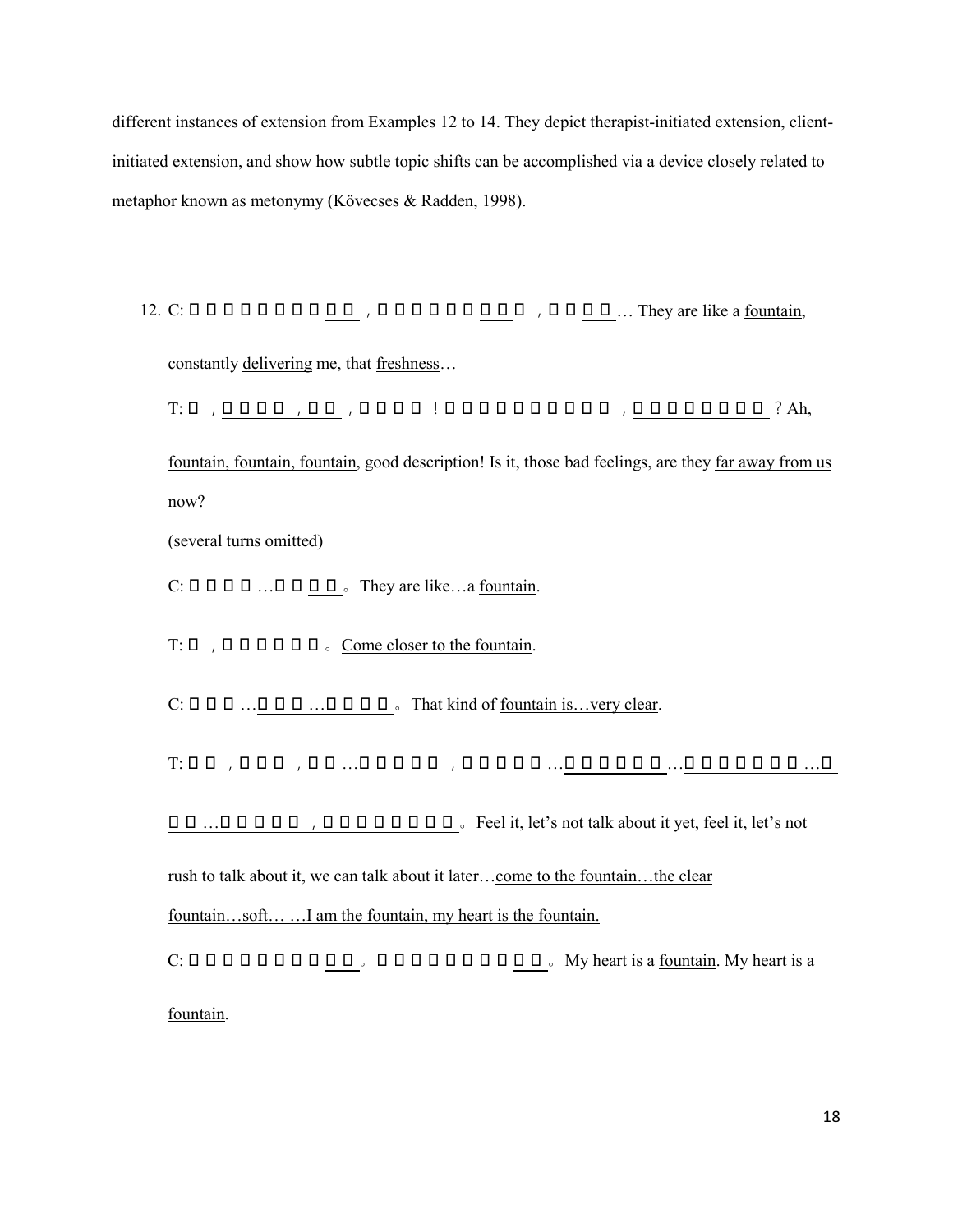different instances of extension from Examples 12 to 14. They depict therapist-initiated extension, clientinitiated extension, and show how subtle topic shifts can be accomplished via a device closely related to metaphor known as metonymy (Kövecses & Radden, 1998).

12. C: 它们好像就是一个 源泉 ,不断地在给我 传递 着 ,那种 清新 … They are like a fountain,

constantly delivering me, that freshness…

T: 哎 ,源泉源泉 ,源泉 ,这个词好 !是不是那些不好的感觉 ,离我们是不是远了 ?Ah,

fountain, fountain, fountain, good description! Is it, those bad feelings, are they far away from us now?

(several turns omitted)

 $C: \Box \Box \Box \Box \Box \ldots \Box \Box \Box \Box$  They are like...a fountain.

T: 来 ,靠近那个源泉 。Come closer to the fountain.

 $C: \Box \Box \Box \ldots \Box \Box \Box \ldots \Box \Box \Box \Box \Box$  That kind of <u>fountain is...very clear</u>.

T: 感受 ,先不说 ,感受 …先不忙说啊 ,等一 会再说 …来到那个源泉 …清澈的那个源泉 …柔

和的 …我就是源泉 ,我的内 心 就是源泉 。Feel it, let's not talk about it yet, feel it, let's not

rush to talk about it, we can talk about it later…come to the fountain…the clear

fountain…soft… …I am the fountain, my heart is the fountain.

C: 我的内 心 就是一个 源泉 。我的内 心 就 是一个 源泉 。My heart is a fountain. My heart is a fountain.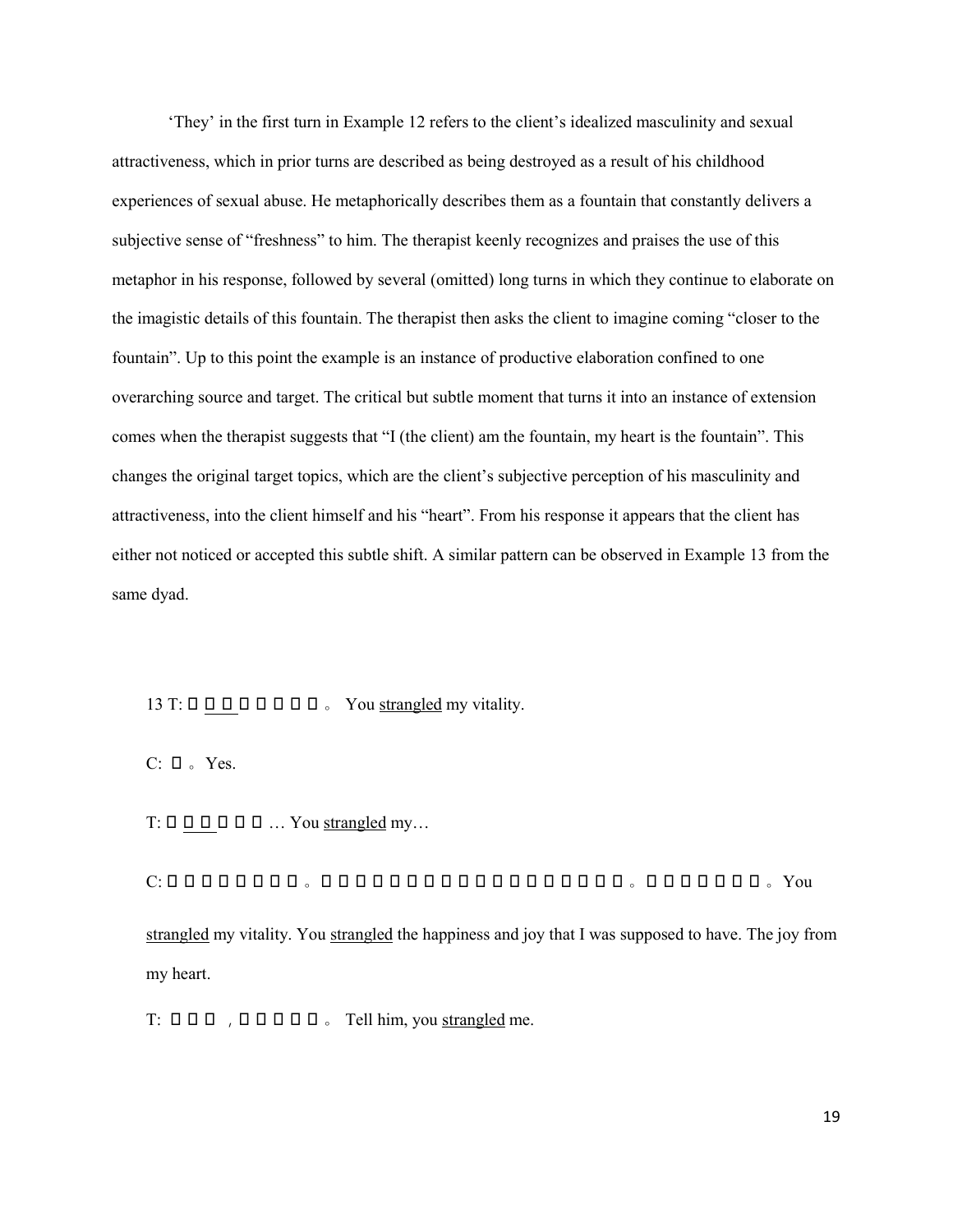'They' in the first turn in Example 12 refers to the client's idealized masculinity and sexual attractiveness, which in prior turns are described as being destroyed as a result of his childhood experiences of sexual abuse. He metaphorically describes them as a fountain that constantly delivers a subjective sense of "freshness" to him. The therapist keenly recognizes and praises the use of this metaphor in his response, followed by several (omitted) long turns in which they continue to elaborate on the imagistic details of this fountain. The therapist then asks the client to imagine coming "closer to the fountain". Up to this point the example is an instance of productive elaboration confined to one overarching source and target. The critical but subtle moment that turns it into an instance of extension comes when the therapist suggests that "I (the client) am the fountain, my heart is the fountain". This changes the original target topics, which are the client's subjective perception of his masculinity and attractiveness, into the client himself and his "heart". From his response it appears that the client has either not noticed or accepted this subtle shift. A similar pattern can be observed in Example 13 from the same dyad.

## 13 T: 你 扼杀 了我的活力 。 You strangled my vitality.

 $C: \Box$  Yes.

 $T: \Box \Box \Box \Box \Box \Box \Box \dots Y$ ou strangled my...

C: 你扼杀了我的活力 。你扼杀了我本来应该有的那种快乐和喜悦 。发自内 心 的喜悦 。You strangled my vitality. You strangled the happiness and joy that I was supposed to have. The joy from my heart.

 $T: \Box \Box \Box$ ,  $\Box \Box \Box \Box \Box$  Tell him, you strangled me.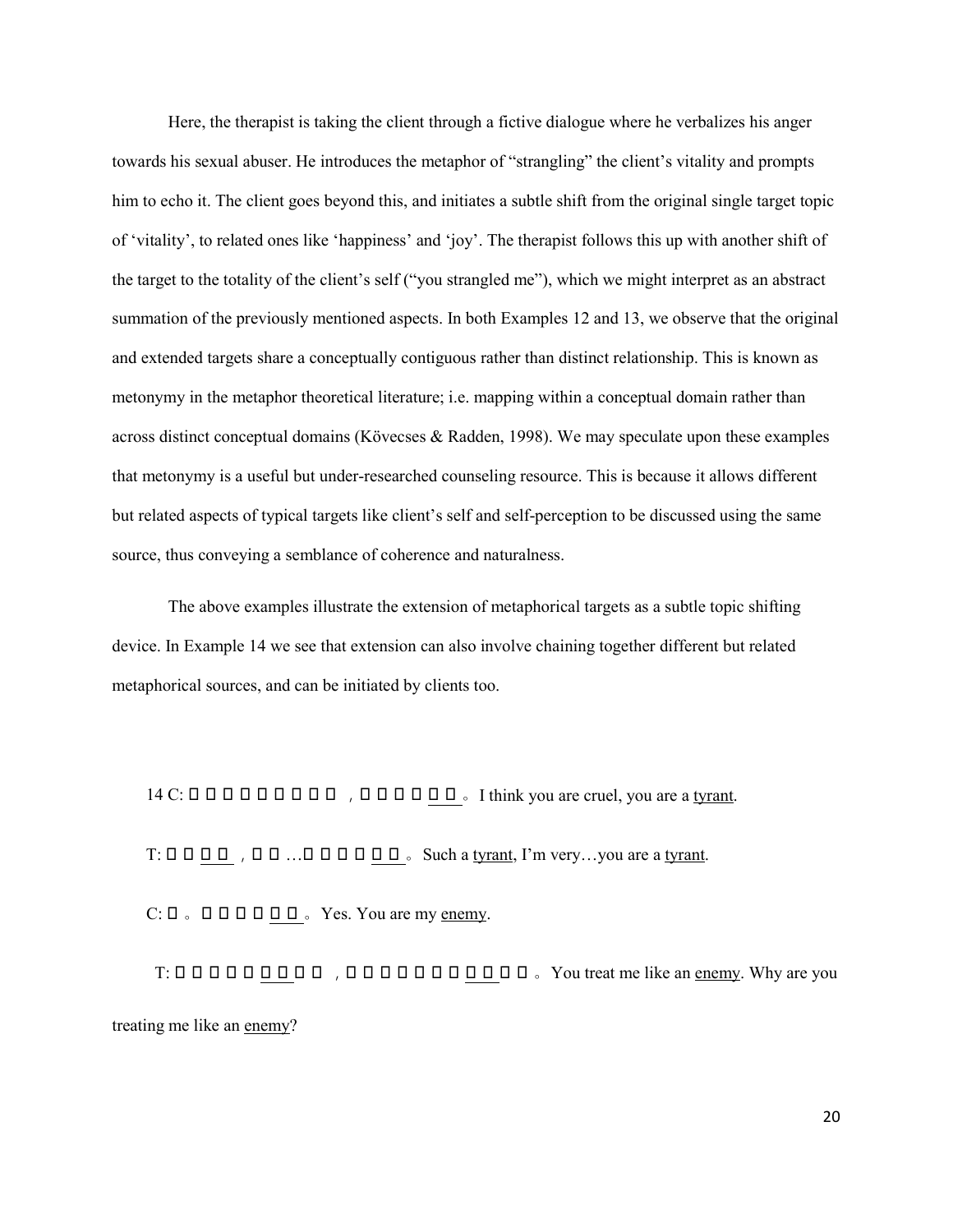Here, the therapist is taking the client through a fictive dialogue where he verbalizes his anger towards his sexual abuser. He introduces the metaphor of "strangling" the client's vitality and prompts him to echo it. The client goes beyond this, and initiates a subtle shift from the original single target topic of 'vitality', to related ones like 'happiness' and 'joy'. The therapist follows this up with another shift of the target to the totality of the client's self ("you strangled me"), which we might interpret as an abstract summation of the previously mentioned aspects. In both Examples 12 and 13, we observe that the original and extended targets share a conceptually contiguous rather than distinct relationship. This is known as metonymy in the metaphor theoretical literature; i.e. mapping within a conceptual domain rather than across distinct conceptual domains (Kövecses & Radden, 1998). We may speculate upon these examples that metonymy is a useful but under-researched counseling resource. This is because it allows different but related aspects of typical targets like client's self and self-perception to be discussed using the same source, thus conveying a semblance of coherence and naturalness.

The above examples illustrate the extension of metaphorical targets as a subtle topic shifting device. In Example 14 we see that extension can also involve chaining together different but related metaphorical sources, and can be initiated by clients too.

14 C: 认为你就是个残暴的 ,你就是个 暴君 。I think you are cruel, you are a tyrant. T: 真是 暴君 ,我很 …你就是个 暴君 。Such a tyrant, I'm very…you are a tyrant. C: 对 。就是我的 敌人 。Yes. You are my enemy.

 T: 你对我像对 敌人 一样 ,你怎么对我像对 敌人 一样 。You treat me like an enemy. Why are you treating me like an enemy?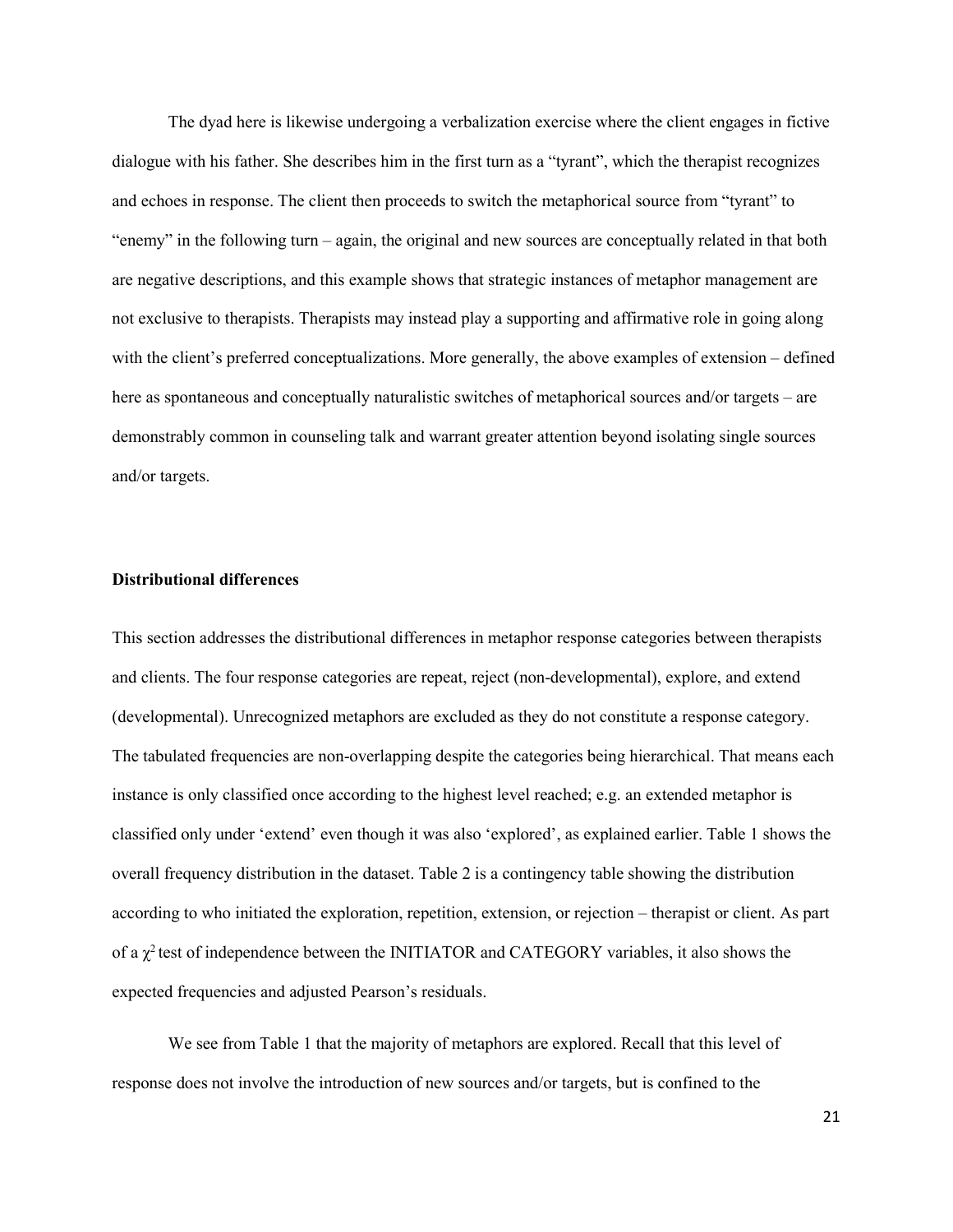The dyad here is likewise undergoing a verbalization exercise where the client engages in fictive dialogue with his father. She describes him in the first turn as a "tyrant", which the therapist recognizes and echoes in response. The client then proceeds to switch the metaphorical source from "tyrant" to "enemy" in the following turn – again, the original and new sources are conceptually related in that both are negative descriptions, and this example shows that strategic instances of metaphor management are not exclusive to therapists. Therapists may instead play a supporting and affirmative role in going along with the client's preferred conceptualizations. More generally, the above examples of extension – defined here as spontaneous and conceptually naturalistic switches of metaphorical sources and/or targets – are demonstrably common in counseling talk and warrant greater attention beyond isolating single sources and/or targets.

#### **Distributional differences**

This section addresses the distributional differences in metaphor response categories between therapists and clients. The four response categories are repeat, reject (non-developmental), explore, and extend (developmental). Unrecognized metaphors are excluded as they do not constitute a response category. The tabulated frequencies are non-overlapping despite the categories being hierarchical. That means each instance is only classified once according to the highest level reached; e.g. an extended metaphor is classified only under 'extend' even though it was also 'explored', as explained earlier. [Table](#page-28-0) 1 shows the overall frequency distribution in the dataset. [Table 2](#page-29-0) is a contingency table showing the distribution according to who initiated the exploration, repetition, extension, or rejection – therapist or client. As part of a  $\chi^2$  test of independence between the INITIATOR and CATEGORY variables, it also shows the expected frequencies and adjusted Pearson's residuals.

We see from [Table](#page-28-0) 1 that the majority of metaphors are explored. Recall that this level of response does not involve the introduction of new sources and/or targets, but is confined to the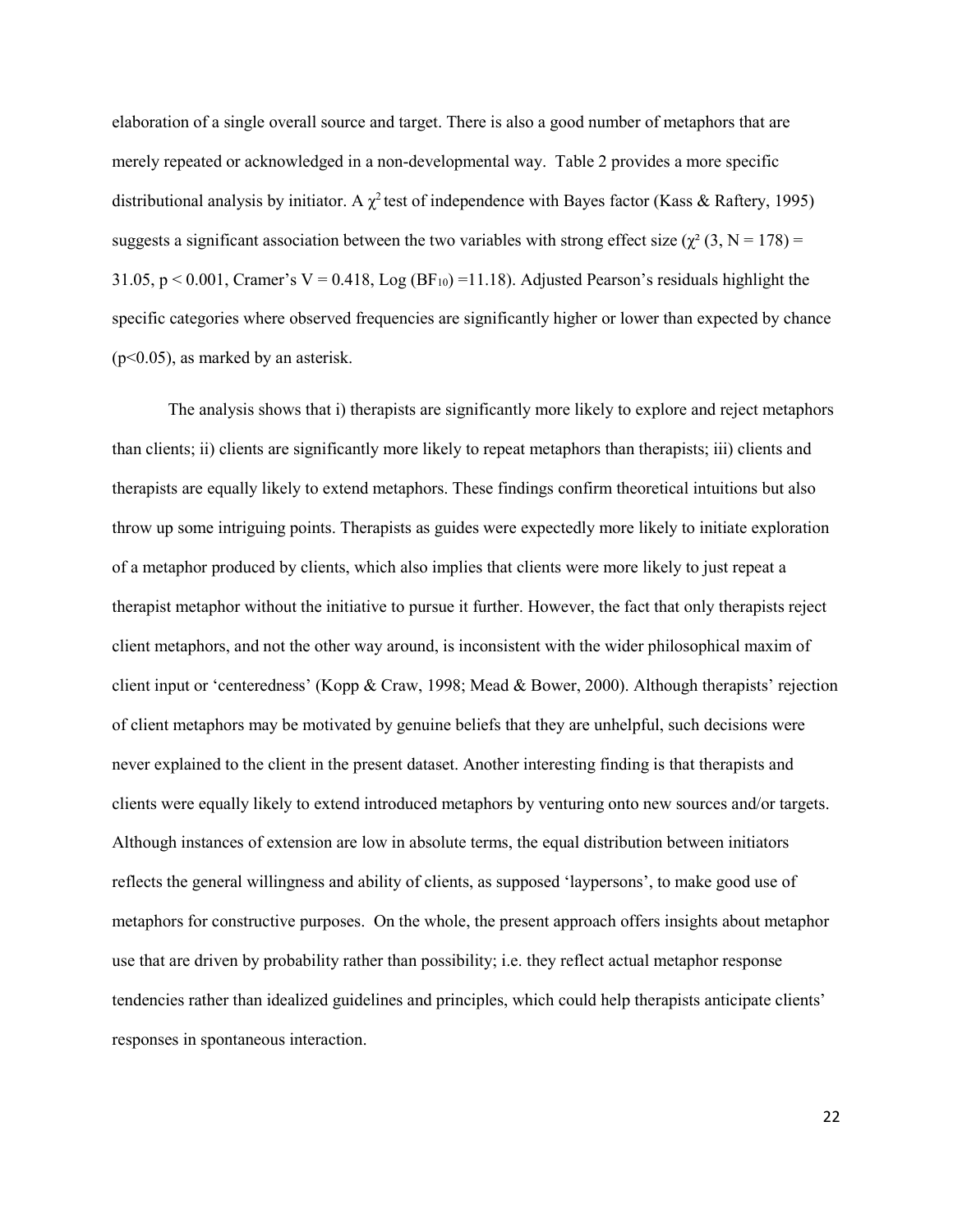elaboration of a single overall source and target. There is also a good number of metaphors that are merely repeated or acknowledged in a non-developmental way. [Table 2](#page-29-0) provides a more specific distributional analysis by initiator. A  $\chi^2$  test of independence with Bayes factor (Kass & Raftery, 1995) suggests a significant association between the two variables with strong effect size ( $\chi^2$  (3, N = 178) = 31.05,  $p < 0.001$ , Cramer's V = 0.418, Log (BF<sub>10</sub>) =11.18). Adjusted Pearson's residuals highlight the specific categories where observed frequencies are significantly higher or lower than expected by chance (p<0.05), as marked by an asterisk.

The analysis shows that i) therapists are significantly more likely to explore and reject metaphors than clients; ii) clients are significantly more likely to repeat metaphors than therapists; iii) clients and therapists are equally likely to extend metaphors. These findings confirm theoretical intuitions but also throw up some intriguing points. Therapists as guides were expectedly more likely to initiate exploration of a metaphor produced by clients, which also implies that clients were more likely to just repeat a therapist metaphor without the initiative to pursue it further. However, the fact that only therapists reject client metaphors, and not the other way around, is inconsistent with the wider philosophical maxim of client input or 'centeredness' (Kopp & Craw, 1998; Mead & Bower, 2000). Although therapists' rejection of client metaphors may be motivated by genuine beliefs that they are unhelpful, such decisions were never explained to the client in the present dataset. Another interesting finding is that therapists and clients were equally likely to extend introduced metaphors by venturing onto new sources and/or targets. Although instances of extension are low in absolute terms, the equal distribution between initiators reflects the general willingness and ability of clients, as supposed 'laypersons', to make good use of metaphors for constructive purposes. On the whole, the present approach offers insights about metaphor use that are driven by probability rather than possibility; i.e. they reflect actual metaphor response tendencies rather than idealized guidelines and principles, which could help therapists anticipate clients' responses in spontaneous interaction.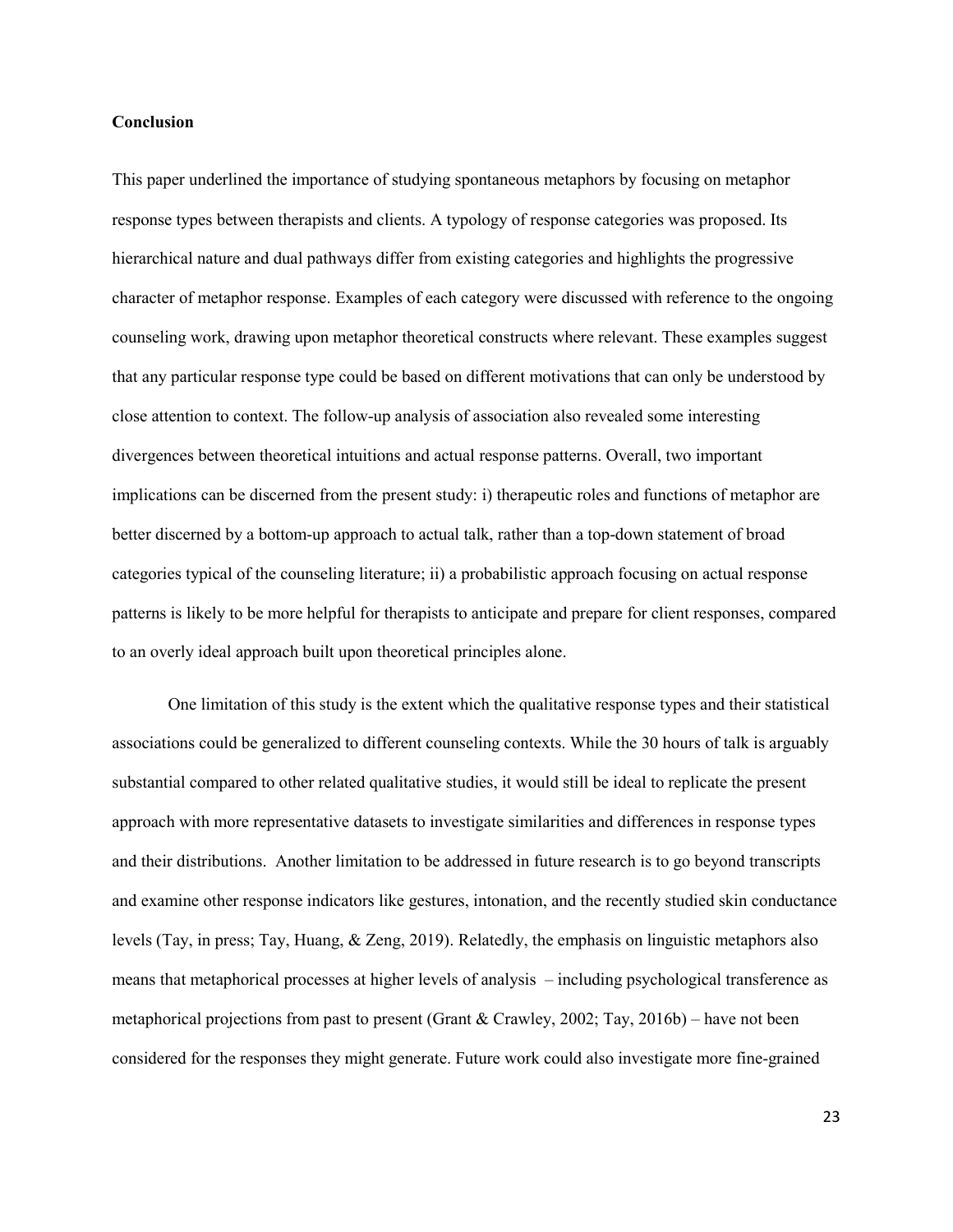## **Conclusion**

This paper underlined the importance of studying spontaneous metaphors by focusing on metaphor response types between therapists and clients. A typology of response categories was proposed. Its hierarchical nature and dual pathways differ from existing categories and highlights the progressive character of metaphor response. Examples of each category were discussed with reference to the ongoing counseling work, drawing upon metaphor theoretical constructs where relevant. These examples suggest that any particular response type could be based on different motivations that can only be understood by close attention to context. The follow-up analysis of association also revealed some interesting divergences between theoretical intuitions and actual response patterns. Overall, two important implications can be discerned from the present study: i) therapeutic roles and functions of metaphor are better discerned by a bottom-up approach to actual talk, rather than a top-down statement of broad categories typical of the counseling literature; ii) a probabilistic approach focusing on actual response patterns is likely to be more helpful for therapists to anticipate and prepare for client responses, compared to an overly ideal approach built upon theoretical principles alone.

One limitation of this study is the extent which the qualitative response types and their statistical associations could be generalized to different counseling contexts. While the 30 hours of talk is arguably substantial compared to other related qualitative studies, it would still be ideal to replicate the present approach with more representative datasets to investigate similarities and differences in response types and their distributions. Another limitation to be addressed in future research is to go beyond transcripts and examine other response indicators like gestures, intonation, and the recently studied skin conductance levels (Tay, in press; Tay, Huang, & Zeng, 2019). Relatedly, the emphasis on linguistic metaphors also means that metaphorical processes at higher levels of analysis – including psychological transference as metaphorical projections from past to present (Grant & Crawley, 2002; Tay, 2016b) – have not been considered for the responses they might generate. Future work could also investigate more fine-grained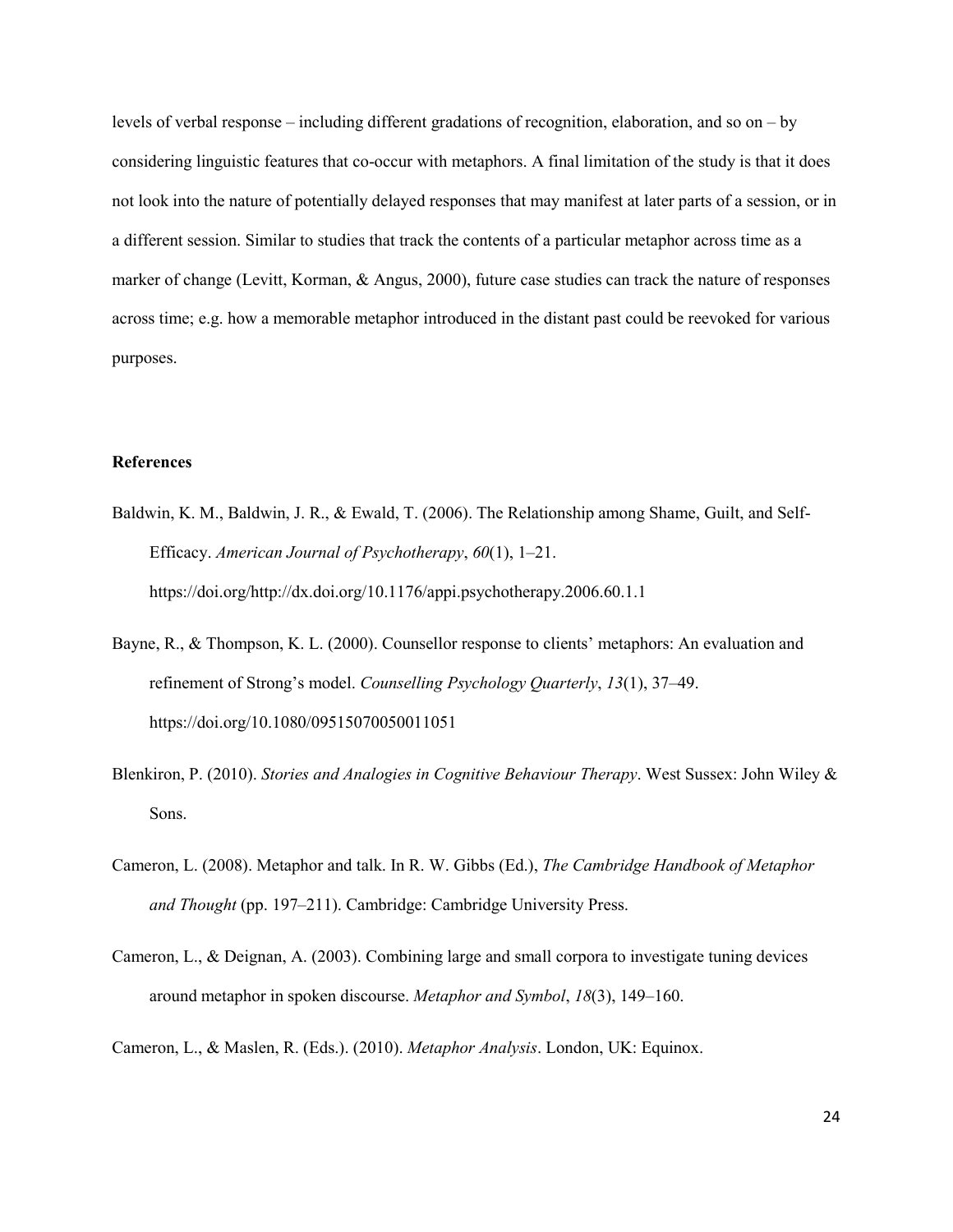levels of verbal response – including different gradations of recognition, elaboration, and so on – by considering linguistic features that co-occur with metaphors. A final limitation of the study is that it does not look into the nature of potentially delayed responses that may manifest at later parts of a session, or in a different session. Similar to studies that track the contents of a particular metaphor across time as a marker of change (Levitt, Korman, & Angus, 2000), future case studies can track the nature of responses across time; e.g. how a memorable metaphor introduced in the distant past could be reevoked for various purposes.

# **References**

- Baldwin, K. M., Baldwin, J. R., & Ewald, T. (2006). The Relationship among Shame, Guilt, and Self-Efficacy. *American Journal of Psychotherapy*, *60*(1), 1–21. https://doi.org/http://dx.doi.org/10.1176/appi.psychotherapy.2006.60.1.1
- Bayne, R., & Thompson, K. L. (2000). Counsellor response to clients' metaphors: An evaluation and refinement of Strong's model. *Counselling Psychology Quarterly*, *13*(1), 37–49. https://doi.org/10.1080/09515070050011051
- Blenkiron, P. (2010). *Stories and Analogies in Cognitive Behaviour Therapy*. West Sussex: John Wiley & Sons.
- Cameron, L. (2008). Metaphor and talk. In R. W. Gibbs (Ed.), *The Cambridge Handbook of Metaphor and Thought* (pp. 197–211). Cambridge: Cambridge University Press.
- Cameron, L., & Deignan, A. (2003). Combining large and small corpora to investigate tuning devices around metaphor in spoken discourse. *Metaphor and Symbol*, *18*(3), 149–160.
- Cameron, L., & Maslen, R. (Eds.). (2010). *Metaphor Analysis*. London, UK: Equinox.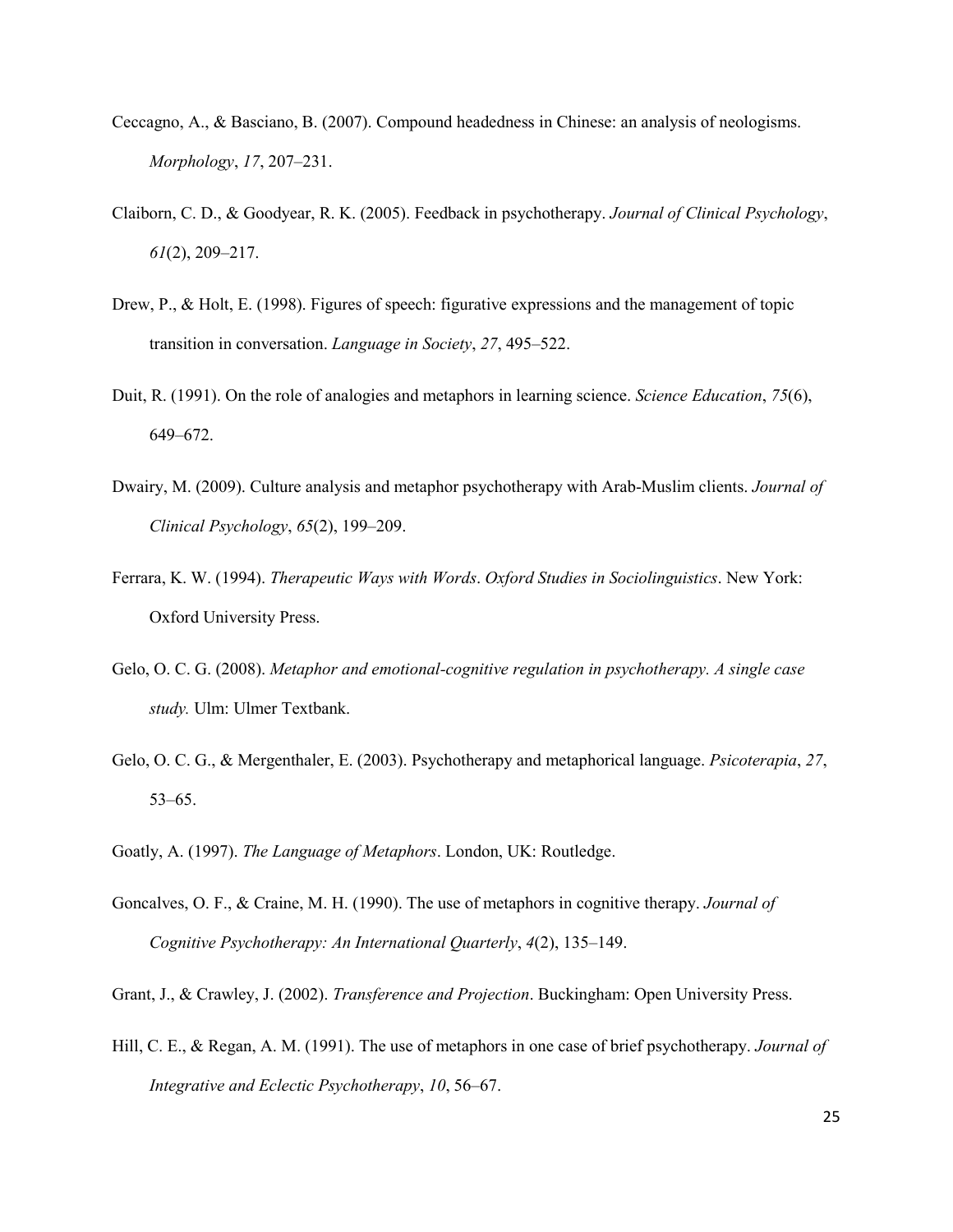- Ceccagno, A., & Basciano, B. (2007). Compound headedness in Chinese: an analysis of neologisms. *Morphology*, *17*, 207–231.
- Claiborn, C. D., & Goodyear, R. K. (2005). Feedback in psychotherapy. *Journal of Clinical Psychology*, *61*(2), 209–217.
- Drew, P., & Holt, E. (1998). Figures of speech: figurative expressions and the management of topic transition in conversation. *Language in Society*, *27*, 495–522.
- Duit, R. (1991). On the role of analogies and metaphors in learning science. *Science Education*, *75*(6), 649–672.
- Dwairy, M. (2009). Culture analysis and metaphor psychotherapy with Arab-Muslim clients. *Journal of Clinical Psychology*, *65*(2), 199–209.
- Ferrara, K. W. (1994). *Therapeutic Ways with Words*. *Oxford Studies in Sociolinguistics*. New York: Oxford University Press.
- Gelo, O. C. G. (2008). *Metaphor and emotional-cognitive regulation in psychotherapy. A single case study.* Ulm: Ulmer Textbank.
- Gelo, O. C. G., & Mergenthaler, E. (2003). Psychotherapy and metaphorical language. *Psicoterapia*, *27*, 53–65.
- Goatly, A. (1997). *The Language of Metaphors*. London, UK: Routledge.
- Goncalves, O. F., & Craine, M. H. (1990). The use of metaphors in cognitive therapy. *Journal of Cognitive Psychotherapy: An International Quarterly*, *4*(2), 135–149.

Grant, J., & Crawley, J. (2002). *Transference and Projection*. Buckingham: Open University Press.

Hill, C. E., & Regan, A. M. (1991). The use of metaphors in one case of brief psychotherapy. *Journal of Integrative and Eclectic Psychotherapy*, *10*, 56–67.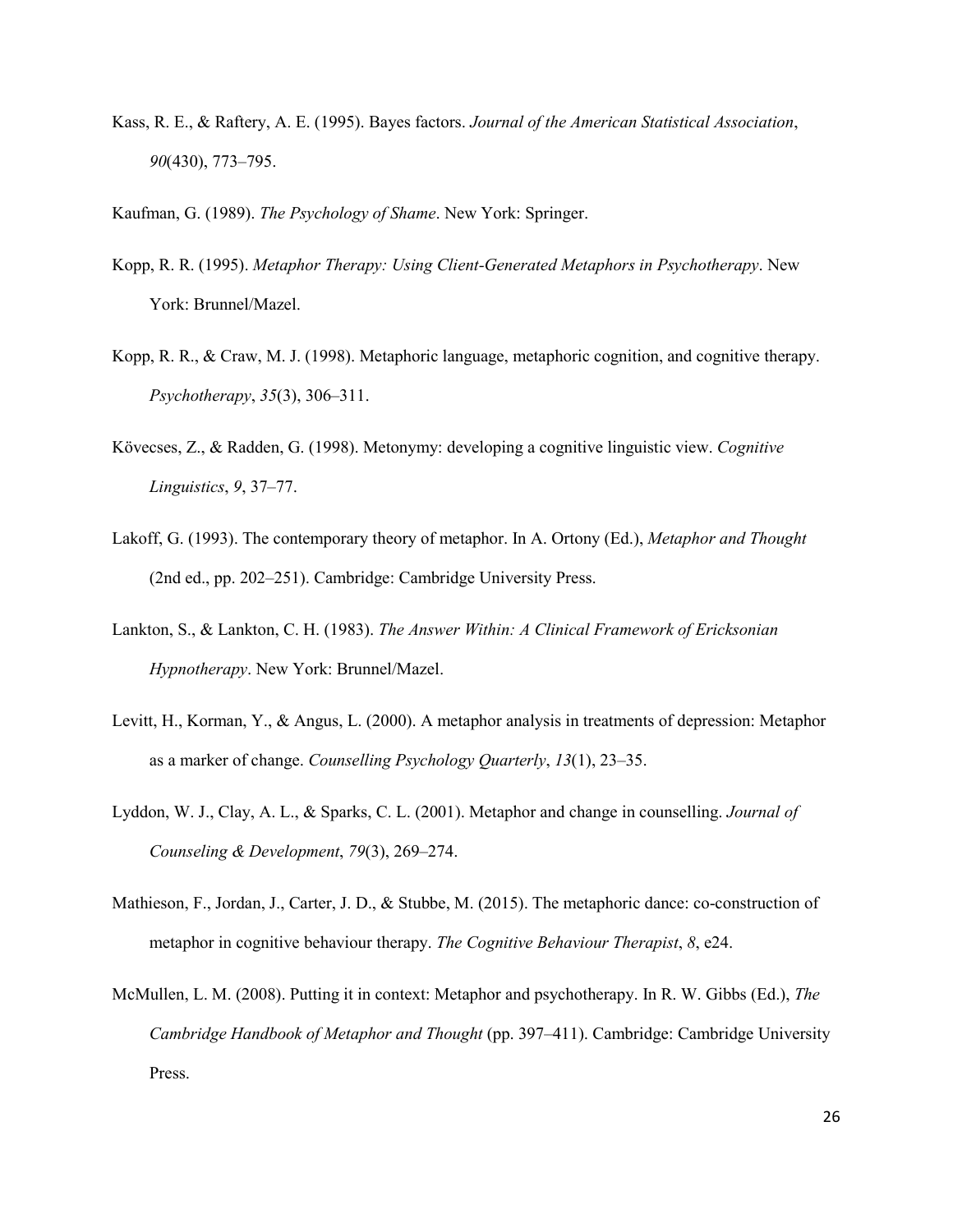Kass, R. E., & Raftery, A. E. (1995). Bayes factors. *Journal of the American Statistical Association*, *90*(430), 773–795.

Kaufman, G. (1989). *The Psychology of Shame*. New York: Springer.

- Kopp, R. R. (1995). *Metaphor Therapy: Using Client-Generated Metaphors in Psychotherapy*. New York: Brunnel/Mazel.
- Kopp, R. R., & Craw, M. J. (1998). Metaphoric language, metaphoric cognition, and cognitive therapy. *Psychotherapy*, *35*(3), 306–311.
- Kövecses, Z., & Radden, G. (1998). Metonymy: developing a cognitive linguistic view. *Cognitive Linguistics*, *9*, 37–77.
- Lakoff, G. (1993). The contemporary theory of metaphor. In A. Ortony (Ed.), *Metaphor and Thought* (2nd ed., pp. 202–251). Cambridge: Cambridge University Press.
- Lankton, S., & Lankton, C. H. (1983). *The Answer Within: A Clinical Framework of Ericksonian Hypnotherapy*. New York: Brunnel/Mazel.
- Levitt, H., Korman, Y., & Angus, L. (2000). A metaphor analysis in treatments of depression: Metaphor as a marker of change. *Counselling Psychology Quarterly*, *13*(1), 23–35.
- Lyddon, W. J., Clay, A. L., & Sparks, C. L. (2001). Metaphor and change in counselling. *Journal of Counseling & Development*, *79*(3), 269–274.
- Mathieson, F., Jordan, J., Carter, J. D., & Stubbe, M. (2015). The metaphoric dance: co-construction of metaphor in cognitive behaviour therapy. *The Cognitive Behaviour Therapist*, *8*, e24.
- McMullen, L. M. (2008). Putting it in context: Metaphor and psychotherapy. In R. W. Gibbs (Ed.), *The Cambridge Handbook of Metaphor and Thought* (pp. 397–411). Cambridge: Cambridge University Press.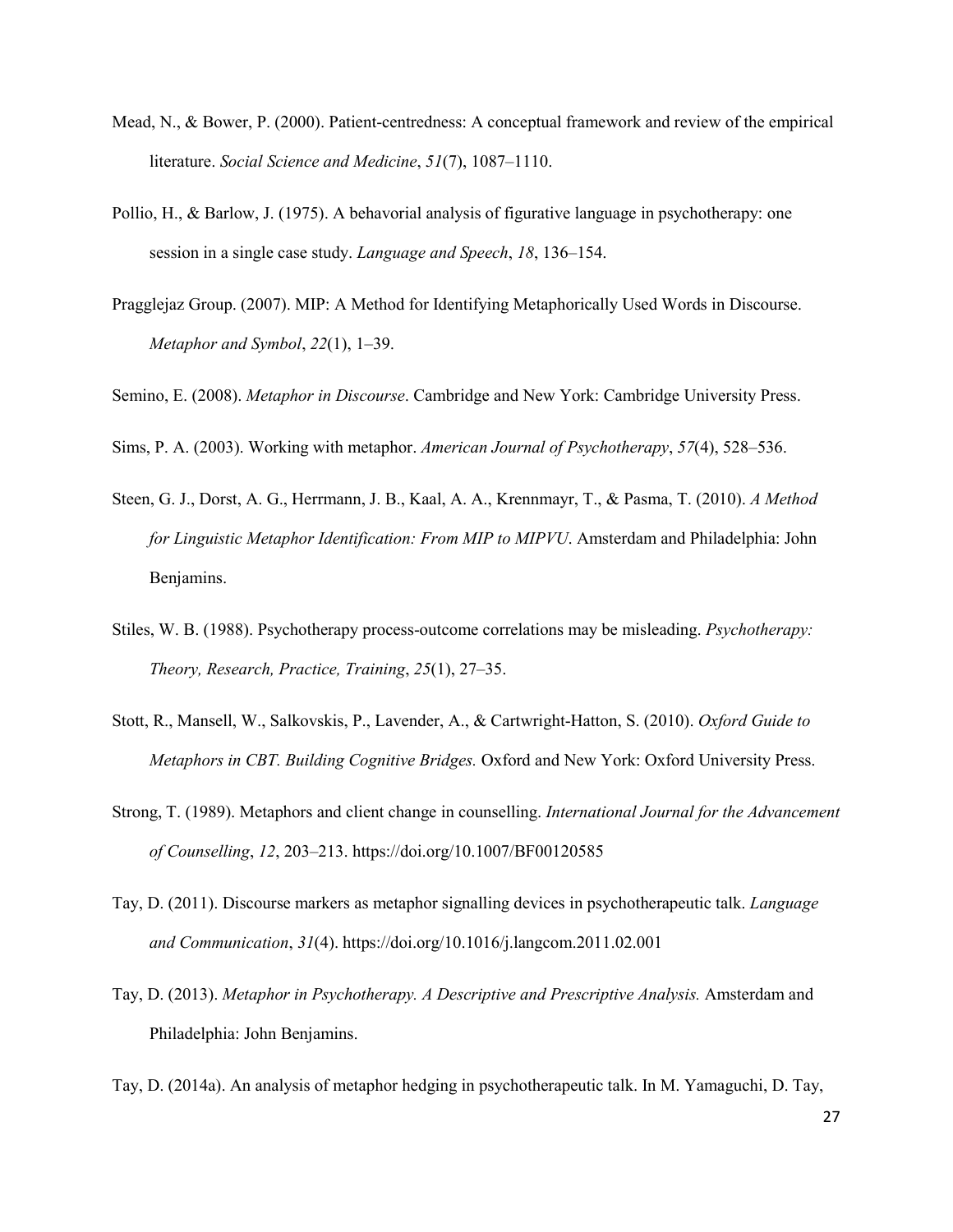- Mead, N., & Bower, P. (2000). Patient-centredness: A conceptual framework and review of the empirical literature. *Social Science and Medicine*, *51*(7), 1087–1110.
- Pollio, H., & Barlow, J. (1975). A behavorial analysis of figurative language in psychotherapy: one session in a single case study. *Language and Speech*, *18*, 136–154.
- Pragglejaz Group. (2007). MIP: A Method for Identifying Metaphorically Used Words in Discourse. *Metaphor and Symbol*, *22*(1), 1–39.

Semino, E. (2008). *Metaphor in Discourse*. Cambridge and New York: Cambridge University Press.

Sims, P. A. (2003). Working with metaphor. *American Journal of Psychotherapy*, *57*(4), 528–536.

- Steen, G. J., Dorst, A. G., Herrmann, J. B., Kaal, A. A., Krennmayr, T., & Pasma, T. (2010). *A Method for Linguistic Metaphor Identification: From MIP to MIPVU*. Amsterdam and Philadelphia: John Benjamins.
- Stiles, W. B. (1988). Psychotherapy process-outcome correlations may be misleading. *Psychotherapy: Theory, Research, Practice, Training*, *25*(1), 27–35.
- Stott, R., Mansell, W., Salkovskis, P., Lavender, A., & Cartwright-Hatton, S. (2010). *Oxford Guide to Metaphors in CBT. Building Cognitive Bridges.* Oxford and New York: Oxford University Press.
- Strong, T. (1989). Metaphors and client change in counselling. *International Journal for the Advancement of Counselling*, *12*, 203–213. https://doi.org/10.1007/BF00120585
- Tay, D. (2011). Discourse markers as metaphor signalling devices in psychotherapeutic talk. *Language and Communication*, *31*(4). https://doi.org/10.1016/j.langcom.2011.02.001
- Tay, D. (2013). *Metaphor in Psychotherapy. A Descriptive and Prescriptive Analysis.* Amsterdam and Philadelphia: John Benjamins.

Tay, D. (2014a). An analysis of metaphor hedging in psychotherapeutic talk. In M. Yamaguchi, D. Tay,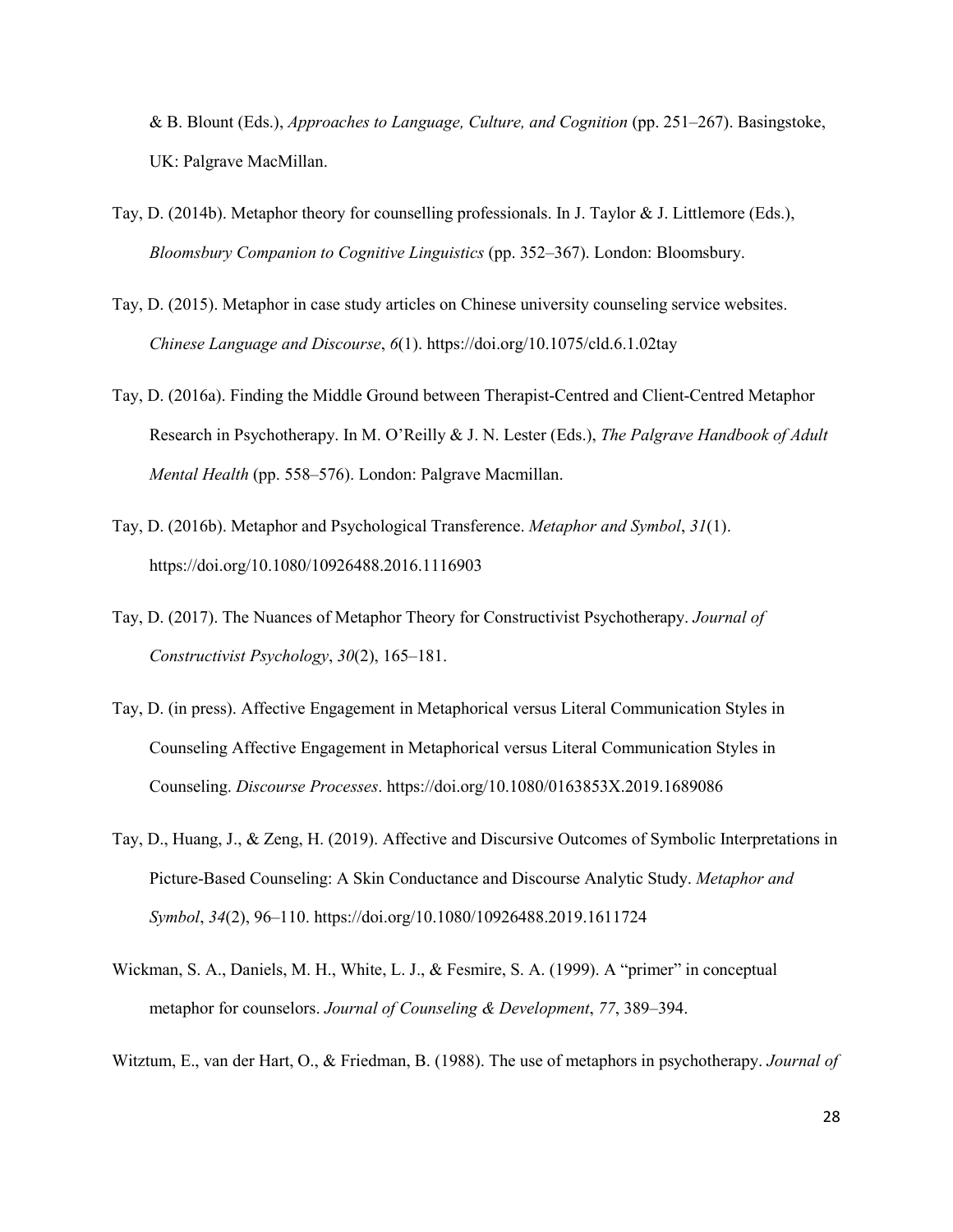& B. Blount (Eds.), *Approaches to Language, Culture, and Cognition* (pp. 251–267). Basingstoke, UK: Palgrave MacMillan.

- Tay, D. (2014b). Metaphor theory for counselling professionals. In J. Taylor & J. Littlemore (Eds.), *Bloomsbury Companion to Cognitive Linguistics* (pp. 352–367). London: Bloomsbury.
- Tay, D. (2015). Metaphor in case study articles on Chinese university counseling service websites. *Chinese Language and Discourse*, *6*(1). https://doi.org/10.1075/cld.6.1.02tay
- Tay, D. (2016a). Finding the Middle Ground between Therapist-Centred and Client-Centred Metaphor Research in Psychotherapy. In M. O'Reilly & J. N. Lester (Eds.), *The Palgrave Handbook of Adult Mental Health* (pp. 558–576). London: Palgrave Macmillan.
- Tay, D. (2016b). Metaphor and Psychological Transference. *Metaphor and Symbol*, *31*(1). https://doi.org/10.1080/10926488.2016.1116903
- Tay, D. (2017). The Nuances of Metaphor Theory for Constructivist Psychotherapy. *Journal of Constructivist Psychology*, *30*(2), 165–181.
- Tay, D. (in press). Affective Engagement in Metaphorical versus Literal Communication Styles in Counseling Affective Engagement in Metaphorical versus Literal Communication Styles in Counseling. *Discourse Processes*. https://doi.org/10.1080/0163853X.2019.1689086
- Tay, D., Huang, J., & Zeng, H. (2019). Affective and Discursive Outcomes of Symbolic Interpretations in Picture-Based Counseling: A Skin Conductance and Discourse Analytic Study. *Metaphor and Symbol*, *34*(2), 96–110. https://doi.org/10.1080/10926488.2019.1611724
- Wickman, S. A., Daniels, M. H., White, L. J., & Fesmire, S. A. (1999). A "primer" in conceptual metaphor for counselors. *Journal of Counseling & Development*, *77*, 389–394.
- Witztum, E., van der Hart, O., & Friedman, B. (1988). The use of metaphors in psychotherapy. *Journal of*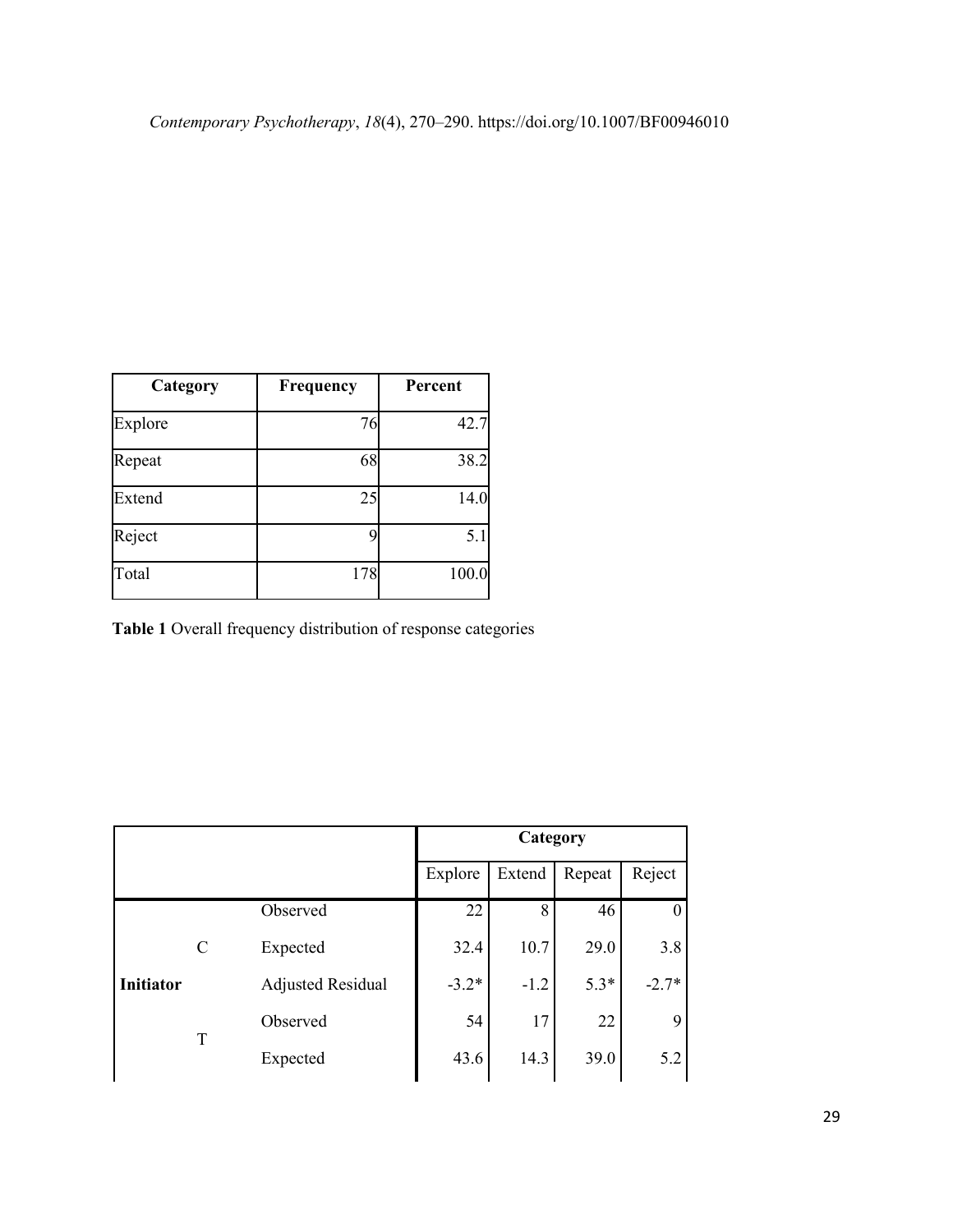| Category | Frequency | Percent |  |
|----------|-----------|---------|--|
| Explore  | 76        | 42.7    |  |
| Repeat   | 68        | 38.2    |  |
| Extend   | 25        | 14.0    |  |
| Reject   |           | 5.1     |  |
| Total    | 178       | 100.0   |  |

<span id="page-28-0"></span>**Table 1** Overall frequency distribution of response categories

|                                      |                          |          | Category |        |         |        |
|--------------------------------------|--------------------------|----------|----------|--------|---------|--------|
|                                      |                          |          | Explore  | Extend | Repeat  | Reject |
| $\mathbf C$<br><b>Initiator</b><br>T |                          | Observed | 22       | 8      | 46      |        |
|                                      | Expected                 | 32.4     | 10.7     | 29.0   | 3.8     |        |
|                                      | <b>Adjusted Residual</b> | $-3.2*$  | $-1.2$   | $5.3*$ | $-2.7*$ |        |
|                                      | Observed                 | 54       | 17       | 22     | 9       |        |
|                                      | Expected                 | 43.6     | 14.3     | 39.0   | 5.2     |        |